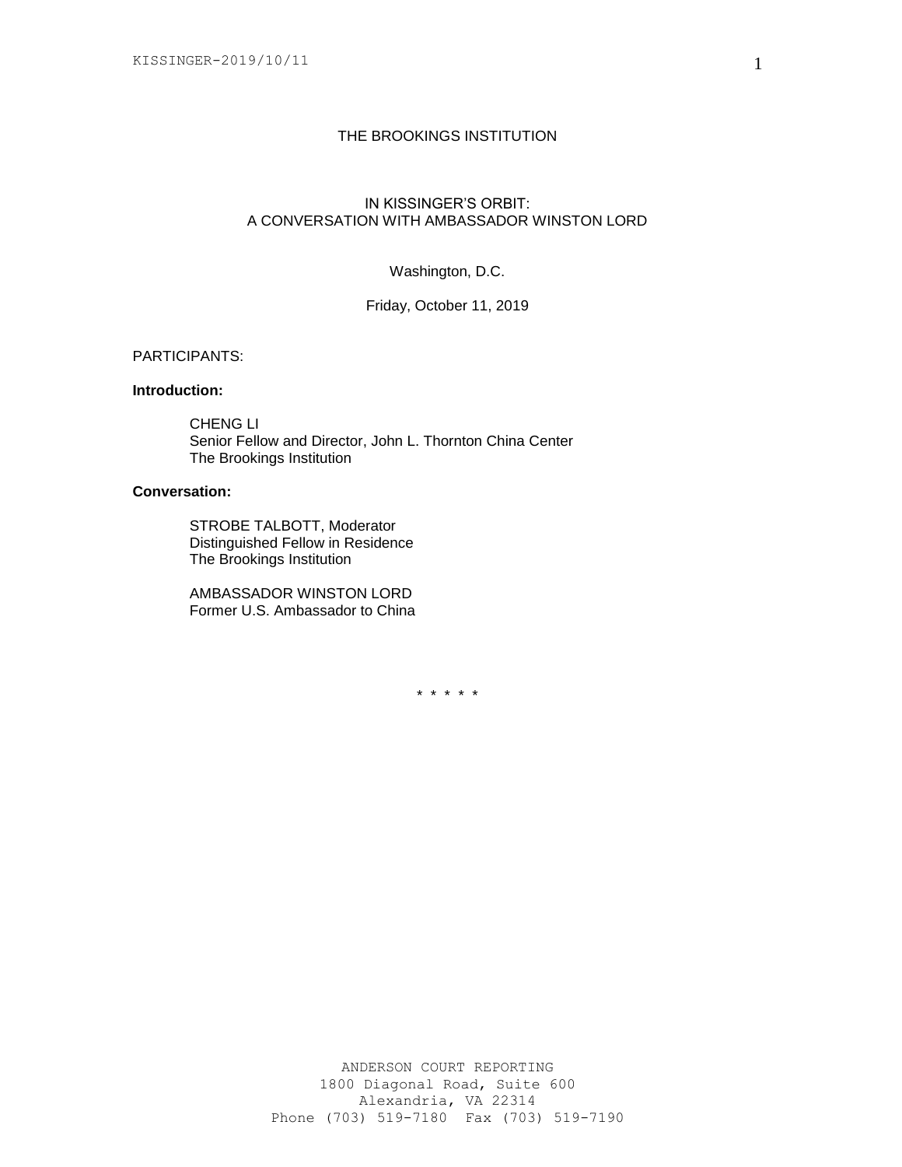#### THE BROOKINGS INSTITUTION

# IN KISSINGER'S ORBIT: A CONVERSATION WITH AMBASSADOR WINSTON LORD

### Washington, D.C.

Friday, October 11, 2019

# PARTICIPANTS:

## **Introduction:**

CHENG LI Senior Fellow and Director, John L. Thornton China Center The Brookings Institution

# **Conversation:**

STROBE TALBOTT, Moderator Distinguished Fellow in Residence The Brookings Institution

AMBASSADOR WINSTON LORD Former U.S. Ambassador to China

\* \* \* \* \*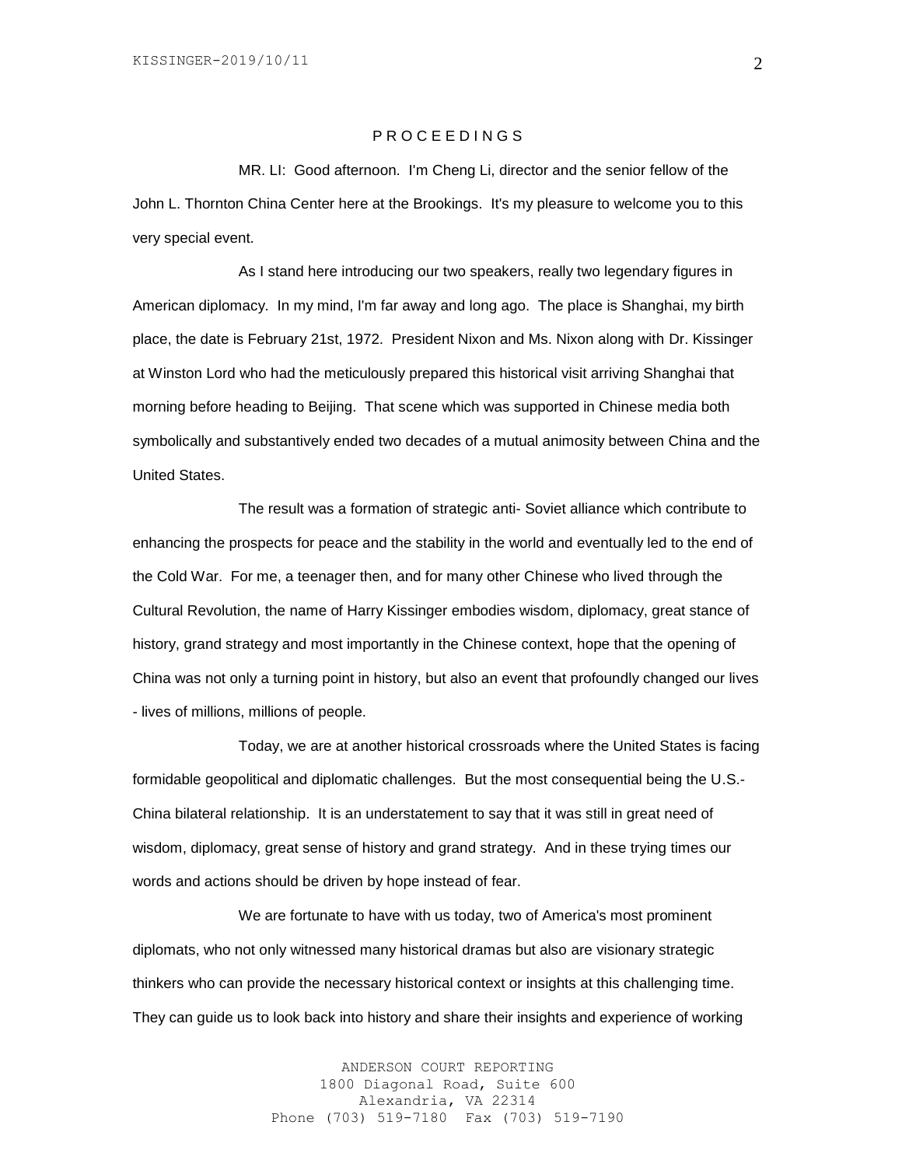### P R O C E E D I N G S

MR. LI: Good afternoon. I'm Cheng Li, director and the senior fellow of the John L. Thornton China Center here at the Brookings. It's my pleasure to welcome you to this very special event.

As I stand here introducing our two speakers, really two legendary figures in American diplomacy. In my mind, I'm far away and long ago. The place is Shanghai, my birth place, the date is February 21st, 1972. President Nixon and Ms. Nixon along with Dr. Kissinger at Winston Lord who had the meticulously prepared this historical visit arriving Shanghai that morning before heading to Beijing. That scene which was supported in Chinese media both symbolically and substantively ended two decades of a mutual animosity between China and the United States.

The result was a formation of strategic anti- Soviet alliance which contribute to enhancing the prospects for peace and the stability in the world and eventually led to the end of the Cold War. For me, a teenager then, and for many other Chinese who lived through the Cultural Revolution, the name of Harry Kissinger embodies wisdom, diplomacy, great stance of history, grand strategy and most importantly in the Chinese context, hope that the opening of China was not only a turning point in history, but also an event that profoundly changed our lives - lives of millions, millions of people.

Today, we are at another historical crossroads where the United States is facing formidable geopolitical and diplomatic challenges. But the most consequential being the U.S.- China bilateral relationship. It is an understatement to say that it was still in great need of wisdom, diplomacy, great sense of history and grand strategy. And in these trying times our words and actions should be driven by hope instead of fear.

We are fortunate to have with us today, two of America's most prominent diplomats, who not only witnessed many historical dramas but also are visionary strategic thinkers who can provide the necessary historical context or insights at this challenging time. They can guide us to look back into history and share their insights and experience of working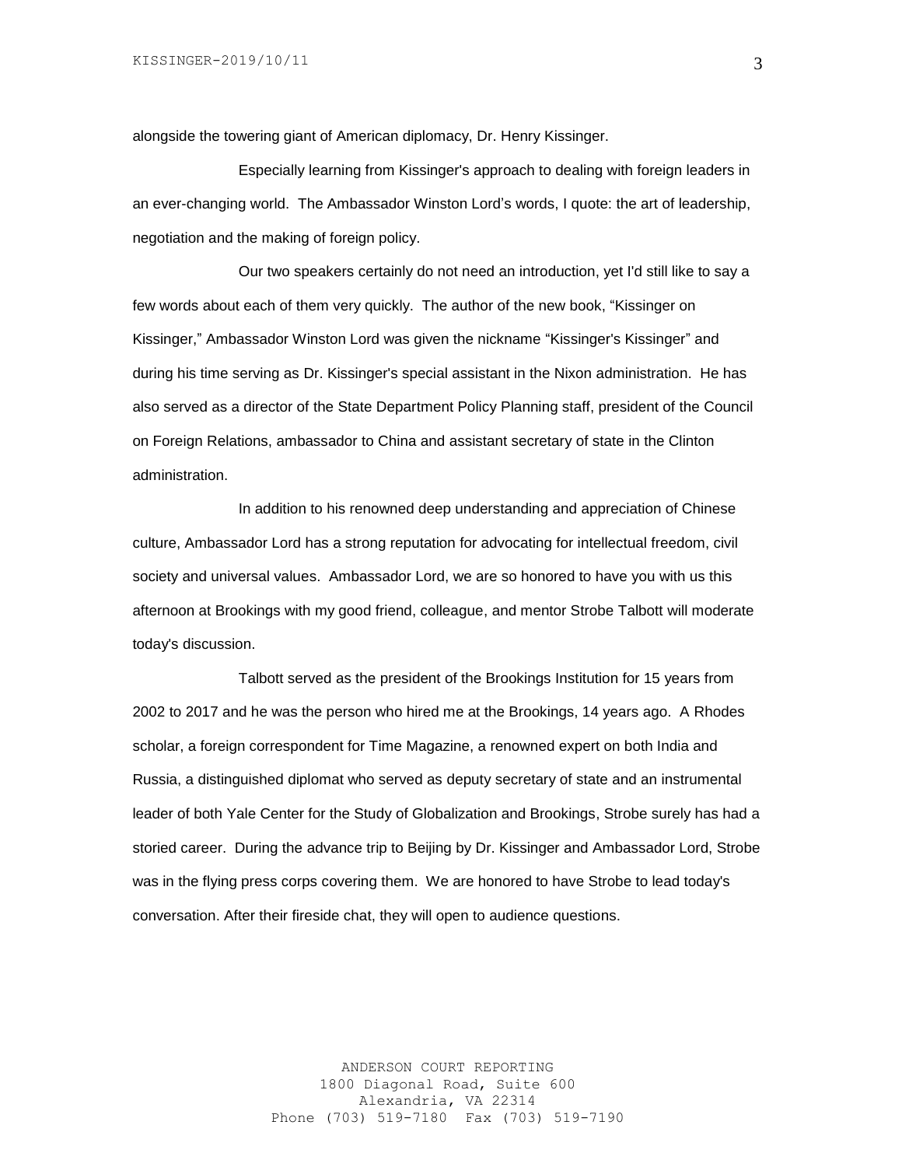alongside the towering giant of American diplomacy, Dr. Henry Kissinger.

Especially learning from Kissinger's approach to dealing with foreign leaders in an ever-changing world. The Ambassador Winston Lord's words, I quote: the art of leadership, negotiation and the making of foreign policy.

Our two speakers certainly do not need an introduction, yet I'd still like to say a few words about each of them very quickly. The author of the new book, "Kissinger on Kissinger," Ambassador Winston Lord was given the nickname "Kissinger's Kissinger" and during his time serving as Dr. Kissinger's special assistant in the Nixon administration. He has also served as a director of the State Department Policy Planning staff, president of the Council on Foreign Relations, ambassador to China and assistant secretary of state in the Clinton administration.

In addition to his renowned deep understanding and appreciation of Chinese culture, Ambassador Lord has a strong reputation for advocating for intellectual freedom, civil society and universal values. Ambassador Lord, we are so honored to have you with us this afternoon at Brookings with my good friend, colleague, and mentor Strobe Talbott will moderate today's discussion.

Talbott served as the president of the Brookings Institution for 15 years from 2002 to 2017 and he was the person who hired me at the Brookings, 14 years ago. A Rhodes scholar, a foreign correspondent for Time Magazine, a renowned expert on both India and Russia, a distinguished diplomat who served as deputy secretary of state and an instrumental leader of both Yale Center for the Study of Globalization and Brookings, Strobe surely has had a storied career. During the advance trip to Beijing by Dr. Kissinger and Ambassador Lord, Strobe was in the flying press corps covering them. We are honored to have Strobe to lead today's conversation. After their fireside chat, they will open to audience questions.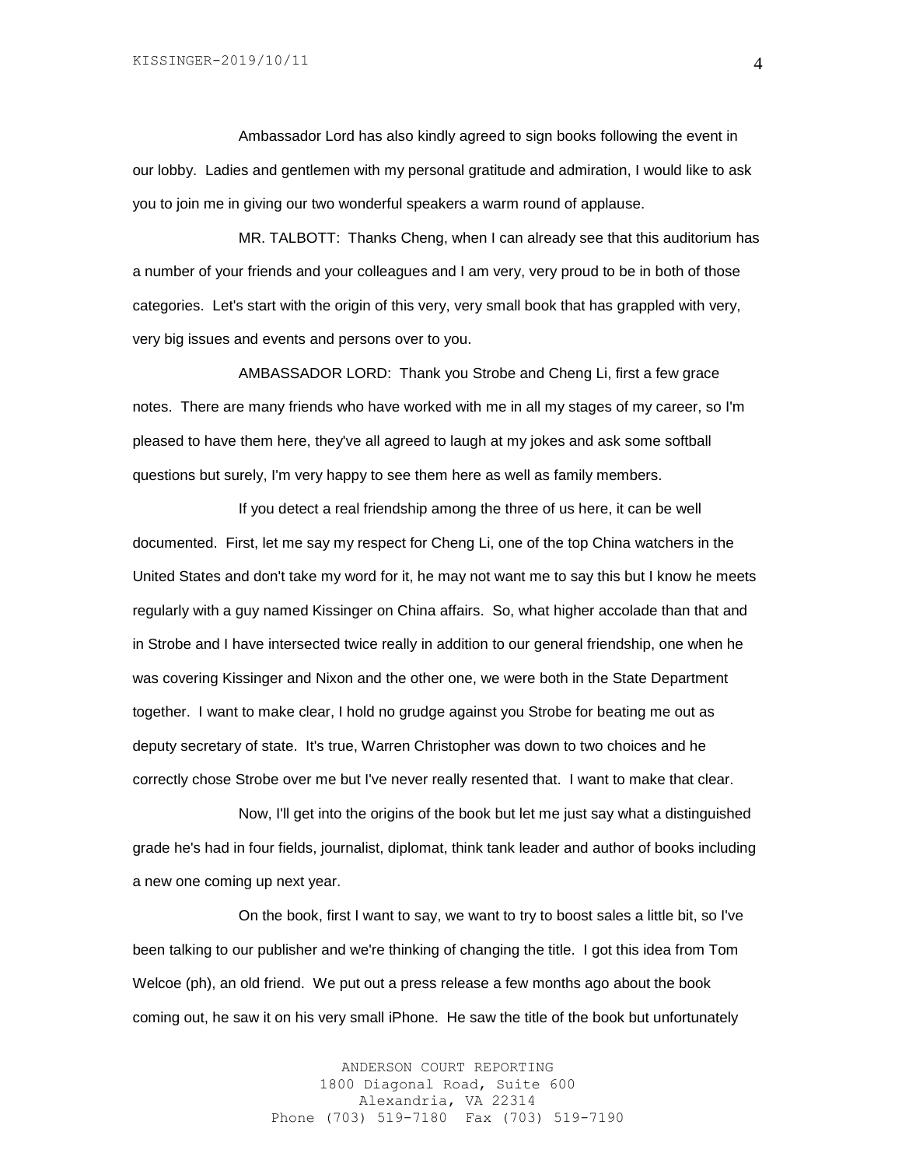Ambassador Lord has also kindly agreed to sign books following the event in our lobby. Ladies and gentlemen with my personal gratitude and admiration, I would like to ask you to join me in giving our two wonderful speakers a warm round of applause.

MR. TALBOTT: Thanks Cheng, when I can already see that this auditorium has a number of your friends and your colleagues and I am very, very proud to be in both of those categories. Let's start with the origin of this very, very small book that has grappled with very, very big issues and events and persons over to you.

AMBASSADOR LORD: Thank you Strobe and Cheng Li, first a few grace notes. There are many friends who have worked with me in all my stages of my career, so I'm pleased to have them here, they've all agreed to laugh at my jokes and ask some softball questions but surely, I'm very happy to see them here as well as family members.

If you detect a real friendship among the three of us here, it can be well documented. First, let me say my respect for Cheng Li, one of the top China watchers in the United States and don't take my word for it, he may not want me to say this but I know he meets regularly with a guy named Kissinger on China affairs. So, what higher accolade than that and in Strobe and I have intersected twice really in addition to our general friendship, one when he was covering Kissinger and Nixon and the other one, we were both in the State Department together. I want to make clear, I hold no grudge against you Strobe for beating me out as deputy secretary of state. It's true, Warren Christopher was down to two choices and he correctly chose Strobe over me but I've never really resented that. I want to make that clear.

Now, I'll get into the origins of the book but let me just say what a distinguished grade he's had in four fields, journalist, diplomat, think tank leader and author of books including a new one coming up next year.

On the book, first I want to say, we want to try to boost sales a little bit, so I've been talking to our publisher and we're thinking of changing the title. I got this idea from Tom Welcoe (ph), an old friend. We put out a press release a few months ago about the book coming out, he saw it on his very small iPhone. He saw the title of the book but unfortunately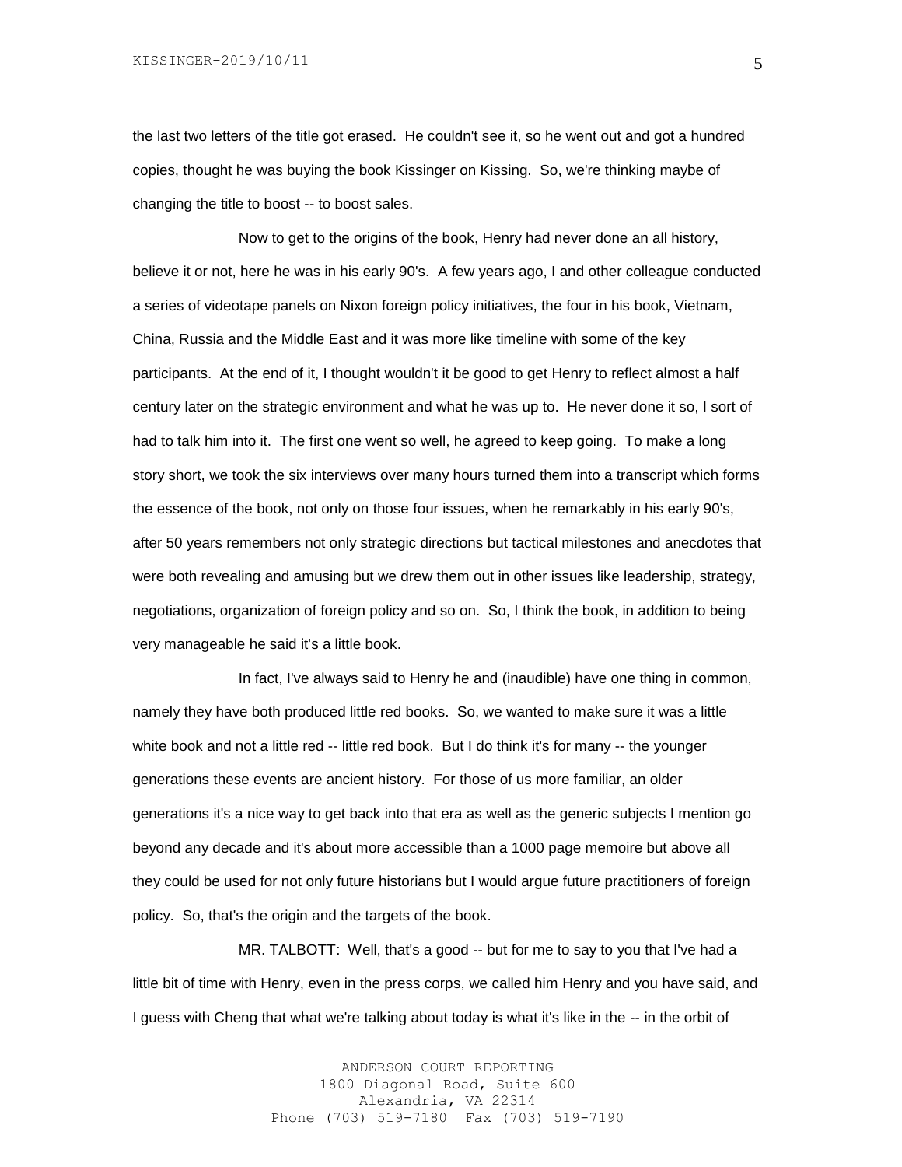the last two letters of the title got erased. He couldn't see it, so he went out and got a hundred copies, thought he was buying the book Kissinger on Kissing. So, we're thinking maybe of changing the title to boost -- to boost sales.

Now to get to the origins of the book, Henry had never done an all history, believe it or not, here he was in his early 90's. A few years ago, I and other colleague conducted a series of videotape panels on Nixon foreign policy initiatives, the four in his book, Vietnam, China, Russia and the Middle East and it was more like timeline with some of the key participants. At the end of it, I thought wouldn't it be good to get Henry to reflect almost a half century later on the strategic environment and what he was up to. He never done it so, I sort of had to talk him into it. The first one went so well, he agreed to keep going. To make a long story short, we took the six interviews over many hours turned them into a transcript which forms the essence of the book, not only on those four issues, when he remarkably in his early 90's, after 50 years remembers not only strategic directions but tactical milestones and anecdotes that were both revealing and amusing but we drew them out in other issues like leadership, strategy, negotiations, organization of foreign policy and so on. So, I think the book, in addition to being very manageable he said it's a little book.

In fact, I've always said to Henry he and (inaudible) have one thing in common, namely they have both produced little red books. So, we wanted to make sure it was a little white book and not a little red -- little red book. But I do think it's for many -- the younger generations these events are ancient history. For those of us more familiar, an older generations it's a nice way to get back into that era as well as the generic subjects I mention go beyond any decade and it's about more accessible than a 1000 page memoire but above all they could be used for not only future historians but I would argue future practitioners of foreign policy. So, that's the origin and the targets of the book.

MR. TALBOTT: Well, that's a good -- but for me to say to you that I've had a little bit of time with Henry, even in the press corps, we called him Henry and you have said, and I guess with Cheng that what we're talking about today is what it's like in the -- in the orbit of

> ANDERSON COURT REPORTING 1800 Diagonal Road, Suite 600 Alexandria, VA 22314 Phone (703) 519-7180 Fax (703) 519-7190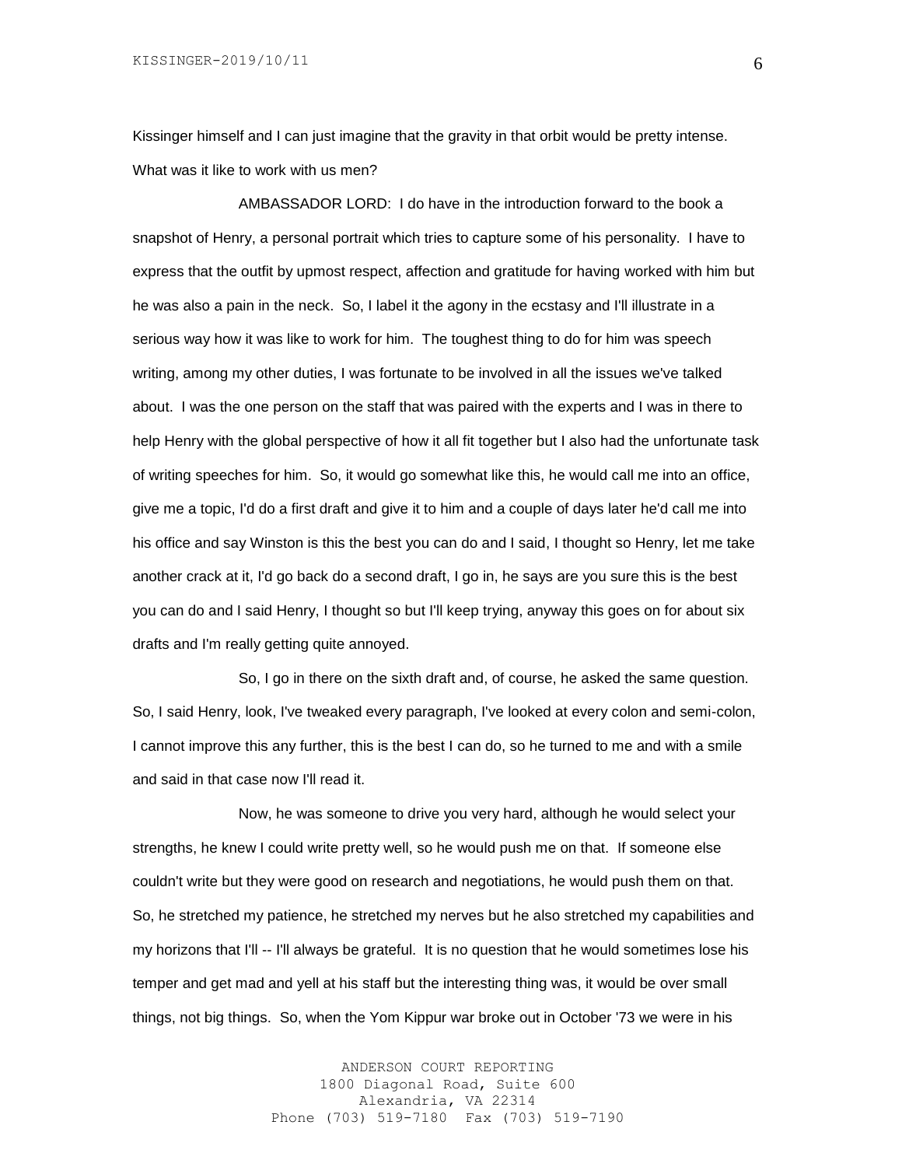Kissinger himself and I can just imagine that the gravity in that orbit would be pretty intense. What was it like to work with us men?

AMBASSADOR LORD: I do have in the introduction forward to the book a snapshot of Henry, a personal portrait which tries to capture some of his personality. I have to express that the outfit by upmost respect, affection and gratitude for having worked with him but he was also a pain in the neck. So, I label it the agony in the ecstasy and I'll illustrate in a serious way how it was like to work for him. The toughest thing to do for him was speech writing, among my other duties, I was fortunate to be involved in all the issues we've talked about. I was the one person on the staff that was paired with the experts and I was in there to help Henry with the global perspective of how it all fit together but I also had the unfortunate task of writing speeches for him. So, it would go somewhat like this, he would call me into an office, give me a topic, I'd do a first draft and give it to him and a couple of days later he'd call me into his office and say Winston is this the best you can do and I said, I thought so Henry, let me take another crack at it, I'd go back do a second draft, I go in, he says are you sure this is the best you can do and I said Henry, I thought so but I'll keep trying, anyway this goes on for about six drafts and I'm really getting quite annoyed.

So, I go in there on the sixth draft and, of course, he asked the same question. So, I said Henry, look, I've tweaked every paragraph, I've looked at every colon and semi-colon, I cannot improve this any further, this is the best I can do, so he turned to me and with a smile and said in that case now I'll read it.

Now, he was someone to drive you very hard, although he would select your strengths, he knew I could write pretty well, so he would push me on that. If someone else couldn't write but they were good on research and negotiations, he would push them on that. So, he stretched my patience, he stretched my nerves but he also stretched my capabilities and my horizons that I'll -- I'll always be grateful. It is no question that he would sometimes lose his temper and get mad and yell at his staff but the interesting thing was, it would be over small things, not big things. So, when the Yom Kippur war broke out in October '73 we were in his

> ANDERSON COURT REPORTING 1800 Diagonal Road, Suite 600 Alexandria, VA 22314 Phone (703) 519-7180 Fax (703) 519-7190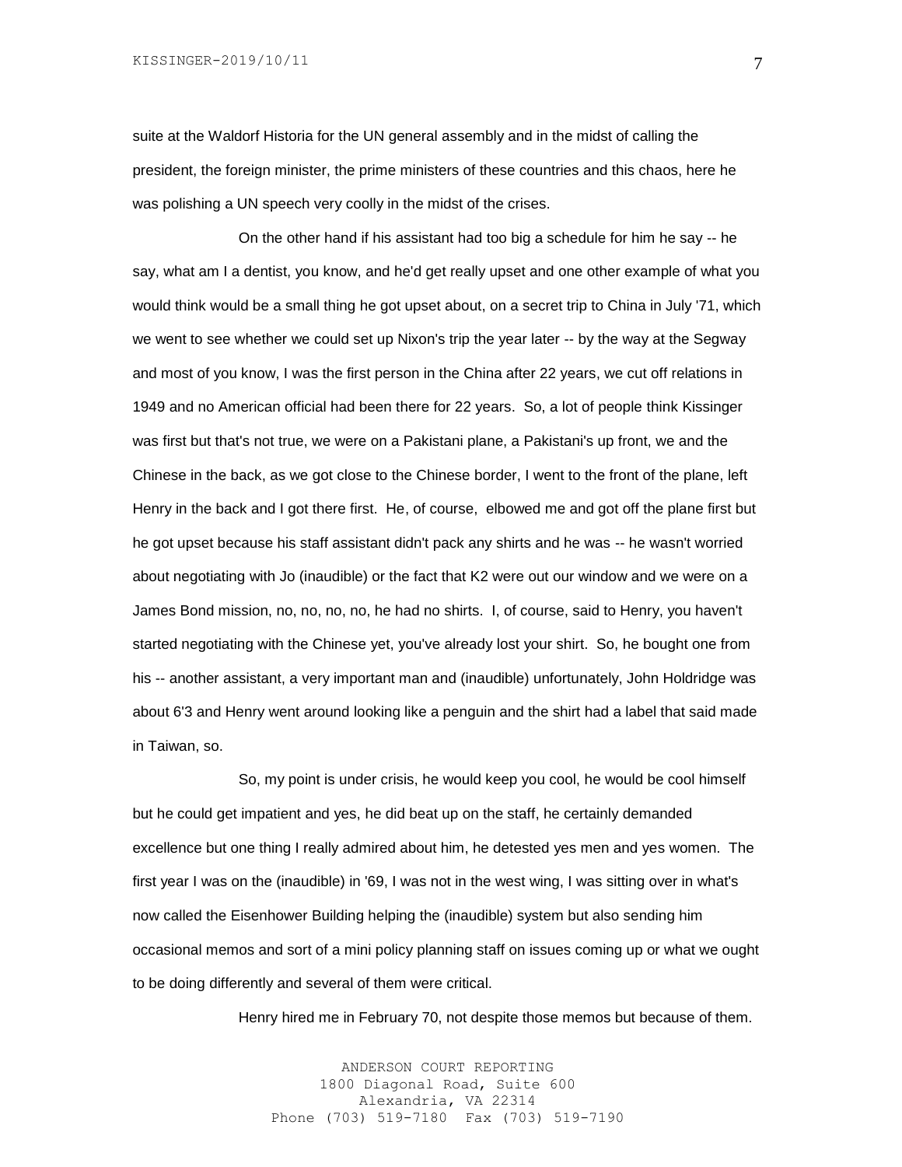suite at the Waldorf Historia for the UN general assembly and in the midst of calling the president, the foreign minister, the prime ministers of these countries and this chaos, here he was polishing a UN speech very coolly in the midst of the crises.

On the other hand if his assistant had too big a schedule for him he say -- he say, what am I a dentist, you know, and he'd get really upset and one other example of what you would think would be a small thing he got upset about, on a secret trip to China in July '71, which we went to see whether we could set up Nixon's trip the year later -- by the way at the Segway and most of you know, I was the first person in the China after 22 years, we cut off relations in 1949 and no American official had been there for 22 years. So, a lot of people think Kissinger was first but that's not true, we were on a Pakistani plane, a Pakistani's up front, we and the Chinese in the back, as we got close to the Chinese border, I went to the front of the plane, left Henry in the back and I got there first. He, of course, elbowed me and got off the plane first but he got upset because his staff assistant didn't pack any shirts and he was -- he wasn't worried about negotiating with Jo (inaudible) or the fact that K2 were out our window and we were on a James Bond mission, no, no, no, no, he had no shirts. I, of course, said to Henry, you haven't started negotiating with the Chinese yet, you've already lost your shirt. So, he bought one from his -- another assistant, a very important man and (inaudible) unfortunately, John Holdridge was about 6'3 and Henry went around looking like a penguin and the shirt had a label that said made in Taiwan, so.

So, my point is under crisis, he would keep you cool, he would be cool himself but he could get impatient and yes, he did beat up on the staff, he certainly demanded excellence but one thing I really admired about him, he detested yes men and yes women. The first year I was on the (inaudible) in '69, I was not in the west wing, I was sitting over in what's now called the Eisenhower Building helping the (inaudible) system but also sending him occasional memos and sort of a mini policy planning staff on issues coming up or what we ought to be doing differently and several of them were critical.

Henry hired me in February 70, not despite those memos but because of them.

ANDERSON COURT REPORTING 1800 Diagonal Road, Suite 600 Alexandria, VA 22314 Phone (703) 519-7180 Fax (703) 519-7190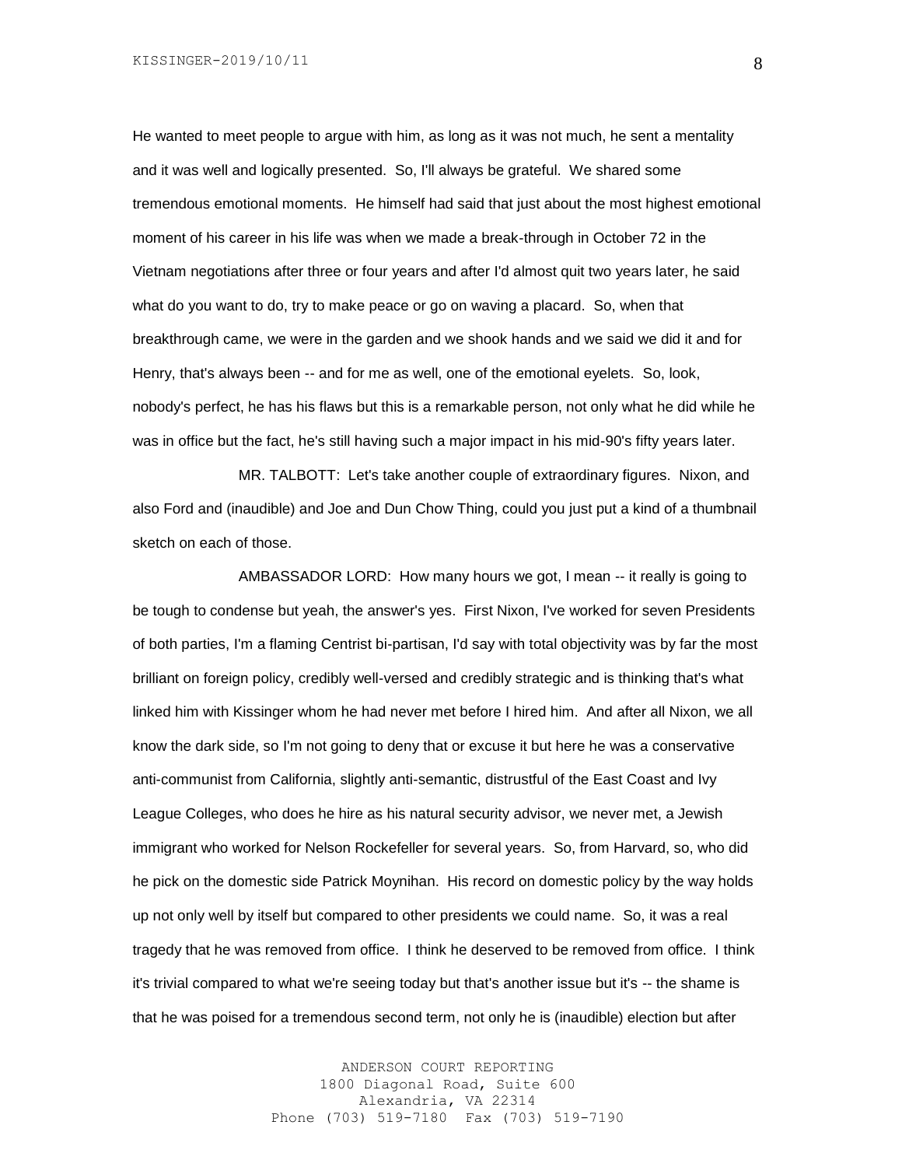He wanted to meet people to argue with him, as long as it was not much, he sent a mentality and it was well and logically presented. So, I'll always be grateful. We shared some tremendous emotional moments. He himself had said that just about the most highest emotional moment of his career in his life was when we made a break-through in October 72 in the Vietnam negotiations after three or four years and after I'd almost quit two years later, he said what do you want to do, try to make peace or go on waving a placard. So, when that breakthrough came, we were in the garden and we shook hands and we said we did it and for Henry, that's always been -- and for me as well, one of the emotional eyelets. So, look, nobody's perfect, he has his flaws but this is a remarkable person, not only what he did while he was in office but the fact, he's still having such a major impact in his mid-90's fifty years later.

MR. TALBOTT: Let's take another couple of extraordinary figures. Nixon, and also Ford and (inaudible) and Joe and Dun Chow Thing, could you just put a kind of a thumbnail sketch on each of those.

AMBASSADOR LORD: How many hours we got, I mean -- it really is going to be tough to condense but yeah, the answer's yes. First Nixon, I've worked for seven Presidents of both parties, I'm a flaming Centrist bi-partisan, I'd say with total objectivity was by far the most brilliant on foreign policy, credibly well-versed and credibly strategic and is thinking that's what linked him with Kissinger whom he had never met before I hired him. And after all Nixon, we all know the dark side, so I'm not going to deny that or excuse it but here he was a conservative anti-communist from California, slightly anti-semantic, distrustful of the East Coast and Ivy League Colleges, who does he hire as his natural security advisor, we never met, a Jewish immigrant who worked for Nelson Rockefeller for several years. So, from Harvard, so, who did he pick on the domestic side Patrick Moynihan. His record on domestic policy by the way holds up not only well by itself but compared to other presidents we could name. So, it was a real tragedy that he was removed from office. I think he deserved to be removed from office. I think it's trivial compared to what we're seeing today but that's another issue but it's -- the shame is that he was poised for a tremendous second term, not only he is (inaudible) election but after

> ANDERSON COURT REPORTING 1800 Diagonal Road, Suite 600 Alexandria, VA 22314 Phone (703) 519-7180 Fax (703) 519-7190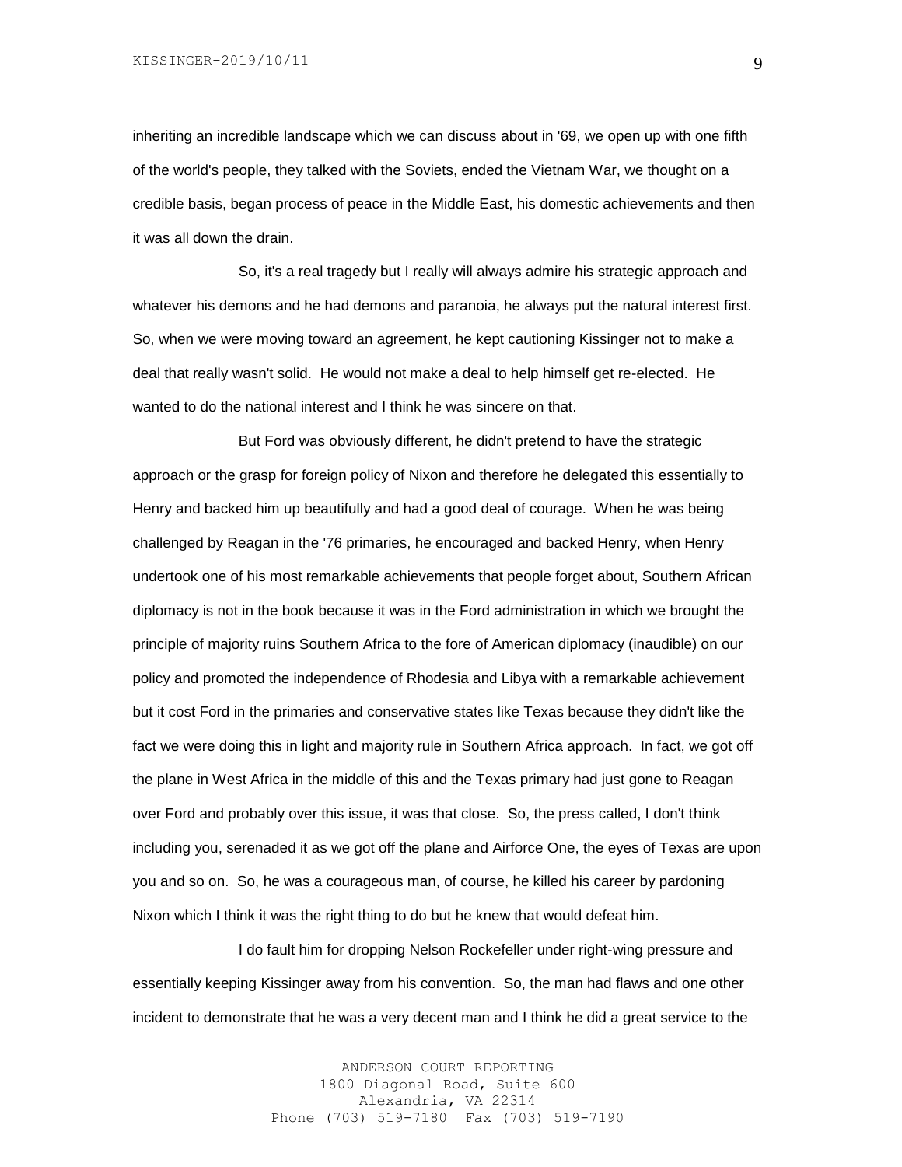inheriting an incredible landscape which we can discuss about in '69, we open up with one fifth of the world's people, they talked with the Soviets, ended the Vietnam War, we thought on a credible basis, began process of peace in the Middle East, his domestic achievements and then it was all down the drain.

So, it's a real tragedy but I really will always admire his strategic approach and whatever his demons and he had demons and paranoia, he always put the natural interest first. So, when we were moving toward an agreement, he kept cautioning Kissinger not to make a deal that really wasn't solid. He would not make a deal to help himself get re-elected. He wanted to do the national interest and I think he was sincere on that.

But Ford was obviously different, he didn't pretend to have the strategic approach or the grasp for foreign policy of Nixon and therefore he delegated this essentially to Henry and backed him up beautifully and had a good deal of courage. When he was being challenged by Reagan in the '76 primaries, he encouraged and backed Henry, when Henry undertook one of his most remarkable achievements that people forget about, Southern African diplomacy is not in the book because it was in the Ford administration in which we brought the principle of majority ruins Southern Africa to the fore of American diplomacy (inaudible) on our policy and promoted the independence of Rhodesia and Libya with a remarkable achievement but it cost Ford in the primaries and conservative states like Texas because they didn't like the fact we were doing this in light and majority rule in Southern Africa approach. In fact, we got off the plane in West Africa in the middle of this and the Texas primary had just gone to Reagan over Ford and probably over this issue, it was that close. So, the press called, I don't think including you, serenaded it as we got off the plane and Airforce One, the eyes of Texas are upon you and so on. So, he was a courageous man, of course, he killed his career by pardoning Nixon which I think it was the right thing to do but he knew that would defeat him.

I do fault him for dropping Nelson Rockefeller under right-wing pressure and essentially keeping Kissinger away from his convention. So, the man had flaws and one other incident to demonstrate that he was a very decent man and I think he did a great service to the

> ANDERSON COURT REPORTING 1800 Diagonal Road, Suite 600 Alexandria, VA 22314 Phone (703) 519-7180 Fax (703) 519-7190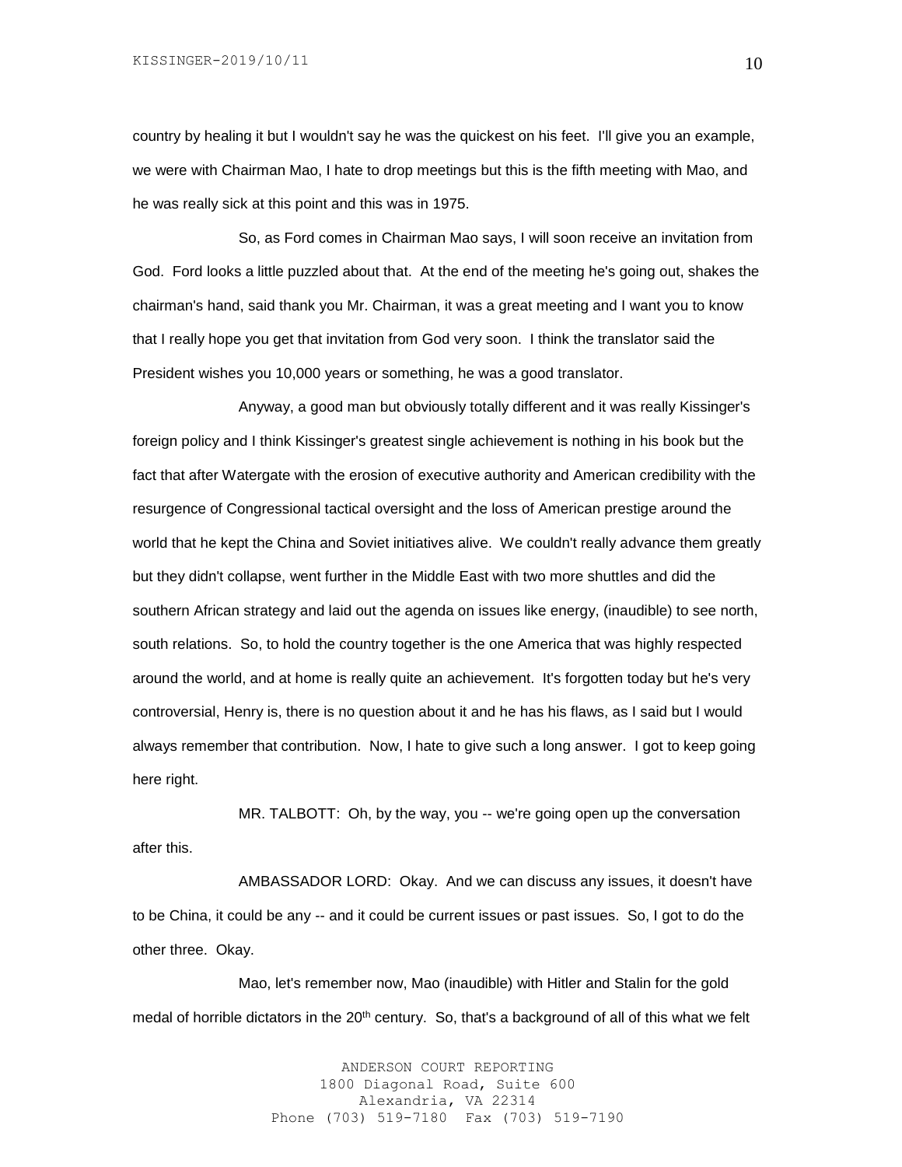country by healing it but I wouldn't say he was the quickest on his feet. I'll give you an example, we were with Chairman Mao, I hate to drop meetings but this is the fifth meeting with Mao, and he was really sick at this point and this was in 1975.

So, as Ford comes in Chairman Mao says, I will soon receive an invitation from God. Ford looks a little puzzled about that. At the end of the meeting he's going out, shakes the chairman's hand, said thank you Mr. Chairman, it was a great meeting and I want you to know that I really hope you get that invitation from God very soon. I think the translator said the President wishes you 10,000 years or something, he was a good translator.

Anyway, a good man but obviously totally different and it was really Kissinger's foreign policy and I think Kissinger's greatest single achievement is nothing in his book but the fact that after Watergate with the erosion of executive authority and American credibility with the resurgence of Congressional tactical oversight and the loss of American prestige around the world that he kept the China and Soviet initiatives alive. We couldn't really advance them greatly but they didn't collapse, went further in the Middle East with two more shuttles and did the southern African strategy and laid out the agenda on issues like energy, (inaudible) to see north, south relations. So, to hold the country together is the one America that was highly respected around the world, and at home is really quite an achievement. It's forgotten today but he's very controversial, Henry is, there is no question about it and he has his flaws, as I said but I would always remember that contribution. Now, I hate to give such a long answer. I got to keep going here right.

MR. TALBOTT: Oh, by the way, you -- we're going open up the conversation after this.

AMBASSADOR LORD: Okay. And we can discuss any issues, it doesn't have to be China, it could be any -- and it could be current issues or past issues. So, I got to do the other three. Okay.

Mao, let's remember now, Mao (inaudible) with Hitler and Stalin for the gold medal of horrible dictators in the 20<sup>th</sup> century. So, that's a background of all of this what we felt

> ANDERSON COURT REPORTING 1800 Diagonal Road, Suite 600 Alexandria, VA 22314 Phone (703) 519-7180 Fax (703) 519-7190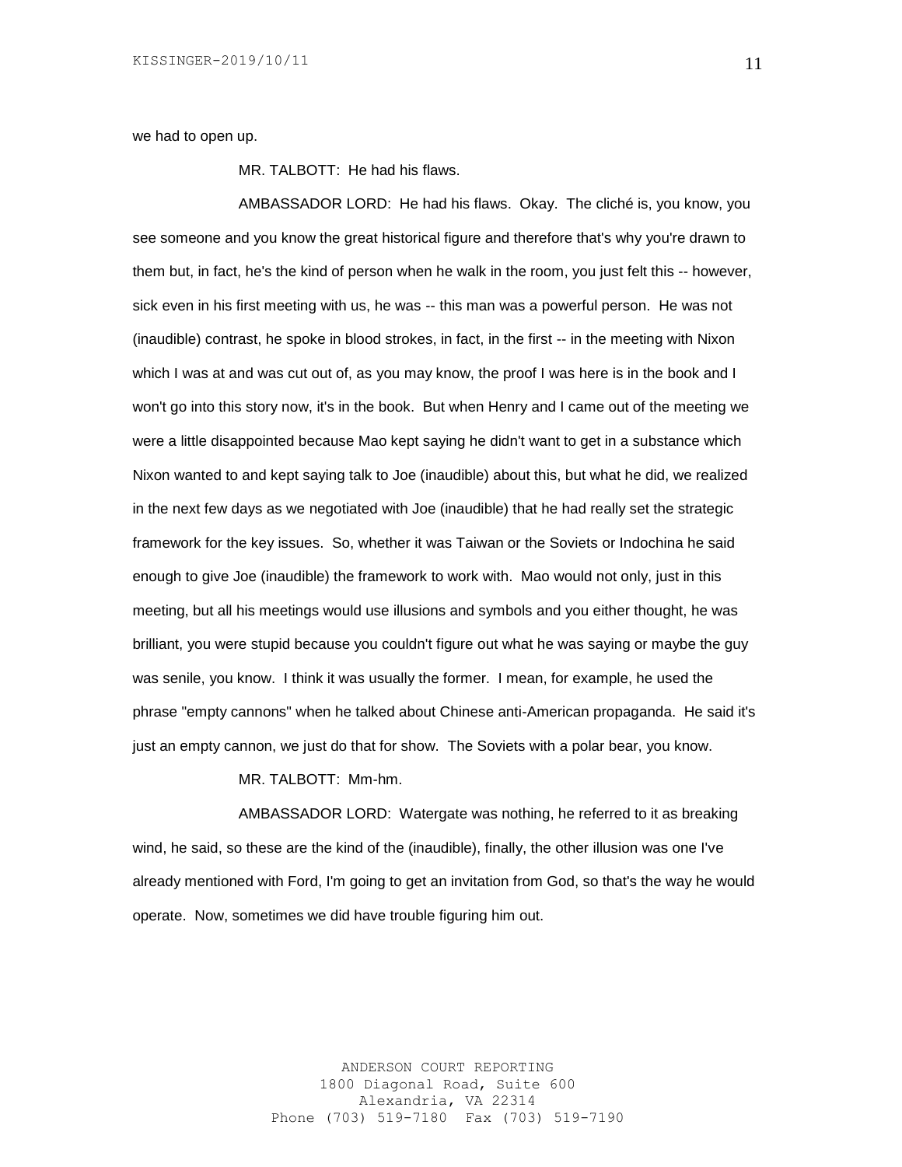we had to open up.

MR. TALBOTT: He had his flaws.

AMBASSADOR LORD: He had his flaws. Okay. The cliché is, you know, you see someone and you know the great historical figure and therefore that's why you're drawn to them but, in fact, he's the kind of person when he walk in the room, you just felt this -- however, sick even in his first meeting with us, he was -- this man was a powerful person. He was not (inaudible) contrast, he spoke in blood strokes, in fact, in the first -- in the meeting with Nixon which I was at and was cut out of, as you may know, the proof I was here is in the book and I won't go into this story now, it's in the book. But when Henry and I came out of the meeting we were a little disappointed because Mao kept saying he didn't want to get in a substance which Nixon wanted to and kept saying talk to Joe (inaudible) about this, but what he did, we realized in the next few days as we negotiated with Joe (inaudible) that he had really set the strategic framework for the key issues. So, whether it was Taiwan or the Soviets or Indochina he said enough to give Joe (inaudible) the framework to work with. Mao would not only, just in this meeting, but all his meetings would use illusions and symbols and you either thought, he was brilliant, you were stupid because you couldn't figure out what he was saying or maybe the guy was senile, you know. I think it was usually the former. I mean, for example, he used the phrase "empty cannons" when he talked about Chinese anti-American propaganda. He said it's just an empty cannon, we just do that for show. The Soviets with a polar bear, you know.

MR. TALBOTT: Mm-hm.

AMBASSADOR LORD: Watergate was nothing, he referred to it as breaking wind, he said, so these are the kind of the (inaudible), finally, the other illusion was one I've already mentioned with Ford, I'm going to get an invitation from God, so that's the way he would operate. Now, sometimes we did have trouble figuring him out.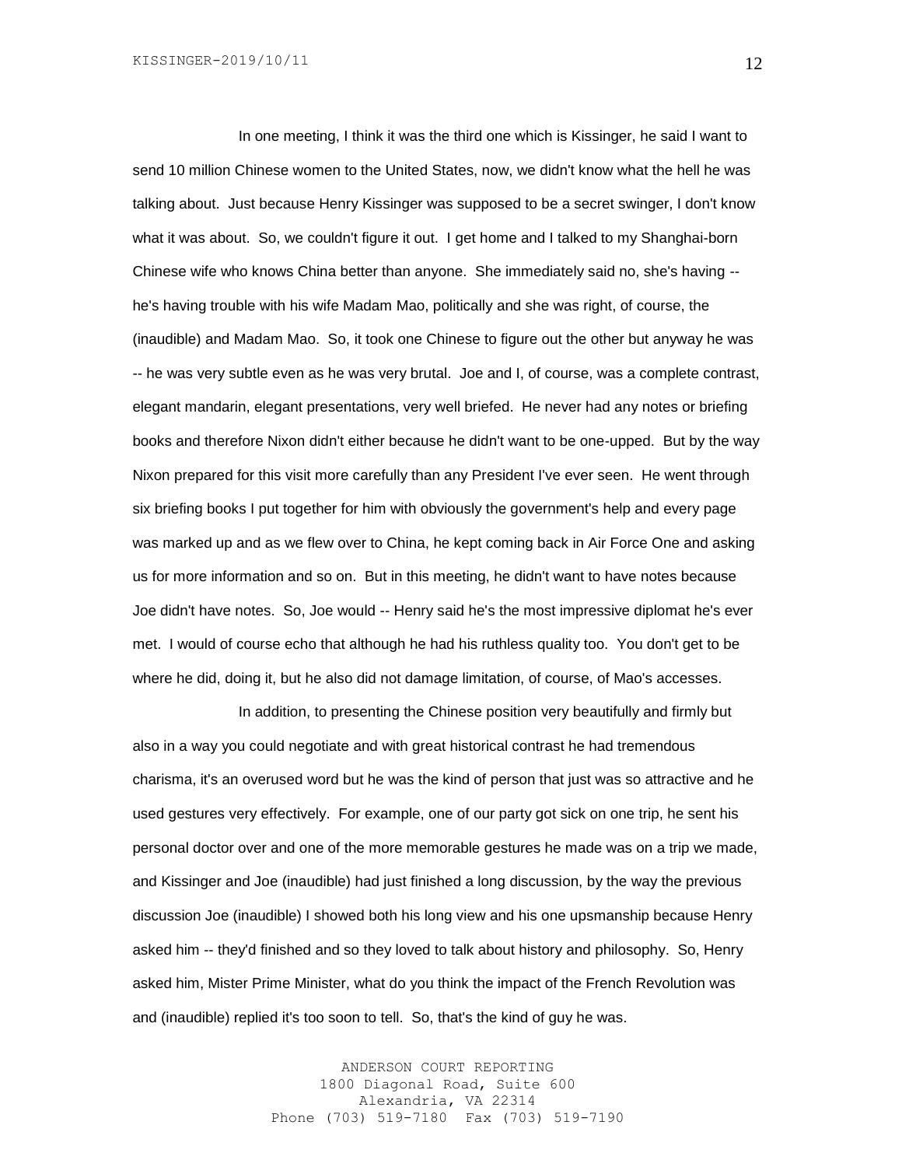In one meeting, I think it was the third one which is Kissinger, he said I want to send 10 million Chinese women to the United States, now, we didn't know what the hell he was talking about. Just because Henry Kissinger was supposed to be a secret swinger, I don't know what it was about. So, we couldn't figure it out. I get home and I talked to my Shanghai-born Chinese wife who knows China better than anyone. She immediately said no, she's having - he's having trouble with his wife Madam Mao, politically and she was right, of course, the (inaudible) and Madam Mao. So, it took one Chinese to figure out the other but anyway he was -- he was very subtle even as he was very brutal. Joe and I, of course, was a complete contrast, elegant mandarin, elegant presentations, very well briefed. He never had any notes or briefing books and therefore Nixon didn't either because he didn't want to be one-upped. But by the way Nixon prepared for this visit more carefully than any President I've ever seen. He went through six briefing books I put together for him with obviously the government's help and every page was marked up and as we flew over to China, he kept coming back in Air Force One and asking us for more information and so on. But in this meeting, he didn't want to have notes because Joe didn't have notes. So, Joe would -- Henry said he's the most impressive diplomat he's ever met. I would of course echo that although he had his ruthless quality too. You don't get to be where he did, doing it, but he also did not damage limitation, of course, of Mao's accesses.

In addition, to presenting the Chinese position very beautifully and firmly but also in a way you could negotiate and with great historical contrast he had tremendous charisma, it's an overused word but he was the kind of person that just was so attractive and he used gestures very effectively. For example, one of our party got sick on one trip, he sent his personal doctor over and one of the more memorable gestures he made was on a trip we made, and Kissinger and Joe (inaudible) had just finished a long discussion, by the way the previous discussion Joe (inaudible) I showed both his long view and his one upsmanship because Henry asked him -- they'd finished and so they loved to talk about history and philosophy. So, Henry asked him, Mister Prime Minister, what do you think the impact of the French Revolution was and (inaudible) replied it's too soon to tell. So, that's the kind of guy he was.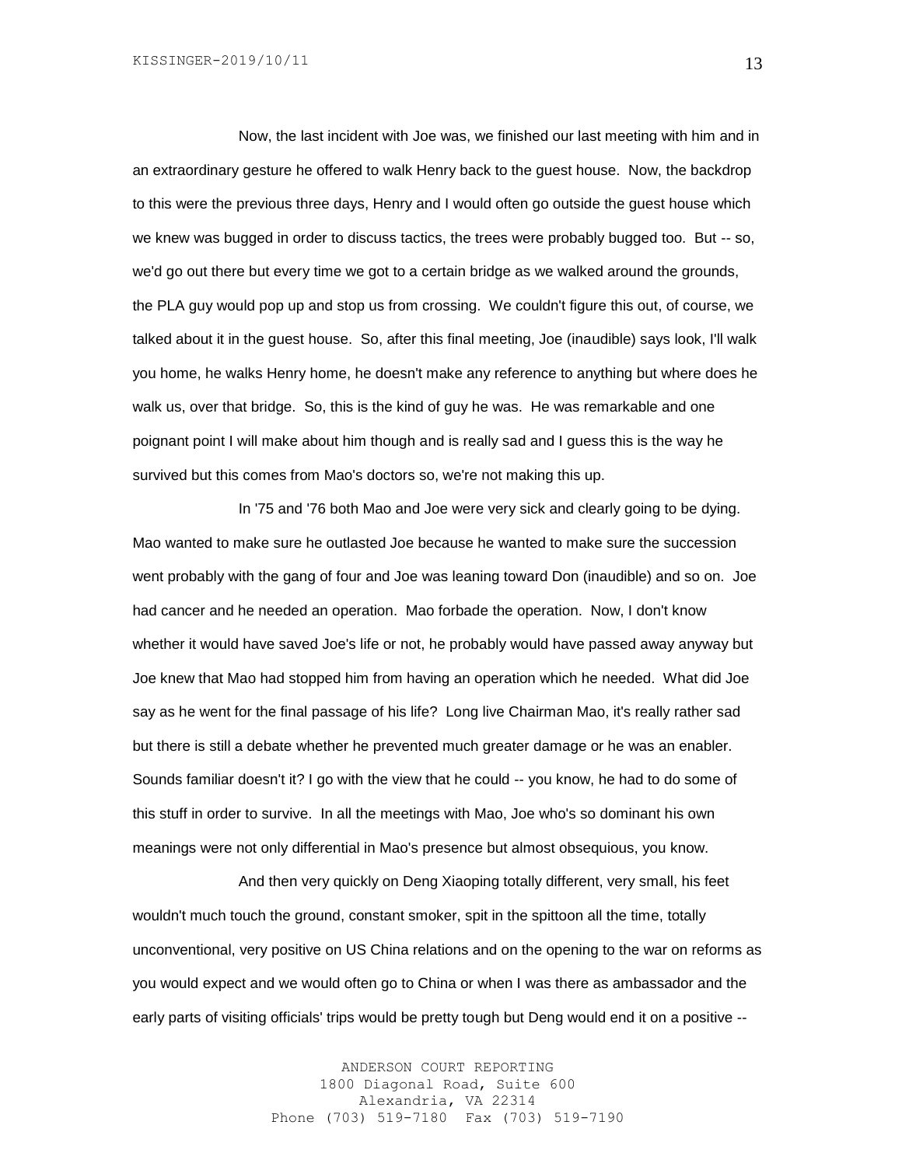Now, the last incident with Joe was, we finished our last meeting with him and in an extraordinary gesture he offered to walk Henry back to the guest house. Now, the backdrop to this were the previous three days, Henry and I would often go outside the guest house which we knew was bugged in order to discuss tactics, the trees were probably bugged too. But -- so, we'd go out there but every time we got to a certain bridge as we walked around the grounds, the PLA guy would pop up and stop us from crossing. We couldn't figure this out, of course, we talked about it in the guest house. So, after this final meeting, Joe (inaudible) says look, I'll walk you home, he walks Henry home, he doesn't make any reference to anything but where does he walk us, over that bridge. So, this is the kind of guy he was. He was remarkable and one poignant point I will make about him though and is really sad and I guess this is the way he survived but this comes from Mao's doctors so, we're not making this up.

In '75 and '76 both Mao and Joe were very sick and clearly going to be dying. Mao wanted to make sure he outlasted Joe because he wanted to make sure the succession went probably with the gang of four and Joe was leaning toward Don (inaudible) and so on. Joe had cancer and he needed an operation. Mao forbade the operation. Now, I don't know whether it would have saved Joe's life or not, he probably would have passed away anyway but Joe knew that Mao had stopped him from having an operation which he needed. What did Joe say as he went for the final passage of his life? Long live Chairman Mao, it's really rather sad but there is still a debate whether he prevented much greater damage or he was an enabler. Sounds familiar doesn't it? I go with the view that he could -- you know, he had to do some of this stuff in order to survive. In all the meetings with Mao, Joe who's so dominant his own meanings were not only differential in Mao's presence but almost obsequious, you know.

And then very quickly on Deng Xiaoping totally different, very small, his feet wouldn't much touch the ground, constant smoker, spit in the spittoon all the time, totally unconventional, very positive on US China relations and on the opening to the war on reforms as you would expect and we would often go to China or when I was there as ambassador and the early parts of visiting officials' trips would be pretty tough but Deng would end it on a positive --

> ANDERSON COURT REPORTING 1800 Diagonal Road, Suite 600 Alexandria, VA 22314 Phone (703) 519-7180 Fax (703) 519-7190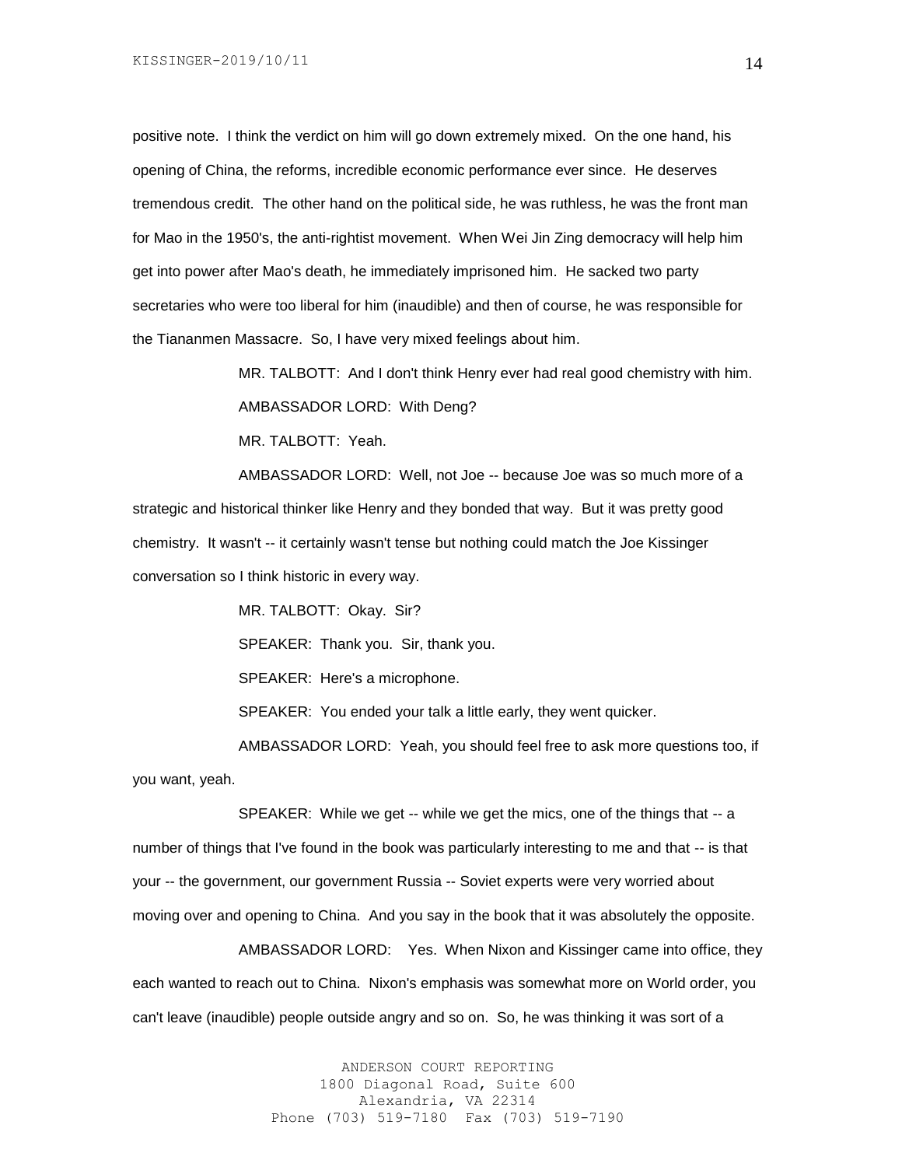positive note. I think the verdict on him will go down extremely mixed. On the one hand, his opening of China, the reforms, incredible economic performance ever since. He deserves tremendous credit. The other hand on the political side, he was ruthless, he was the front man for Mao in the 1950's, the anti-rightist movement. When Wei Jin Zing democracy will help him get into power after Mao's death, he immediately imprisoned him. He sacked two party secretaries who were too liberal for him (inaudible) and then of course, he was responsible for the Tiananmen Massacre. So, I have very mixed feelings about him.

MR. TALBOTT: And I don't think Henry ever had real good chemistry with him.

AMBASSADOR LORD: With Deng?

MR. TALBOTT: Yeah.

AMBASSADOR LORD: Well, not Joe -- because Joe was so much more of a strategic and historical thinker like Henry and they bonded that way. But it was pretty good chemistry. It wasn't -- it certainly wasn't tense but nothing could match the Joe Kissinger conversation so I think historic in every way.

MR. TALBOTT: Okay. Sir?

SPEAKER: Thank you. Sir, thank you.

SPEAKER: Here's a microphone.

SPEAKER: You ended your talk a little early, they went quicker.

AMBASSADOR LORD: Yeah, you should feel free to ask more questions too, if you want, yeah.

SPEAKER: While we get -- while we get the mics, one of the things that -- a number of things that I've found in the book was particularly interesting to me and that -- is that your -- the government, our government Russia -- Soviet experts were very worried about moving over and opening to China. And you say in the book that it was absolutely the opposite.

AMBASSADOR LORD: Yes. When Nixon and Kissinger came into office, they each wanted to reach out to China. Nixon's emphasis was somewhat more on World order, you can't leave (inaudible) people outside angry and so on. So, he was thinking it was sort of a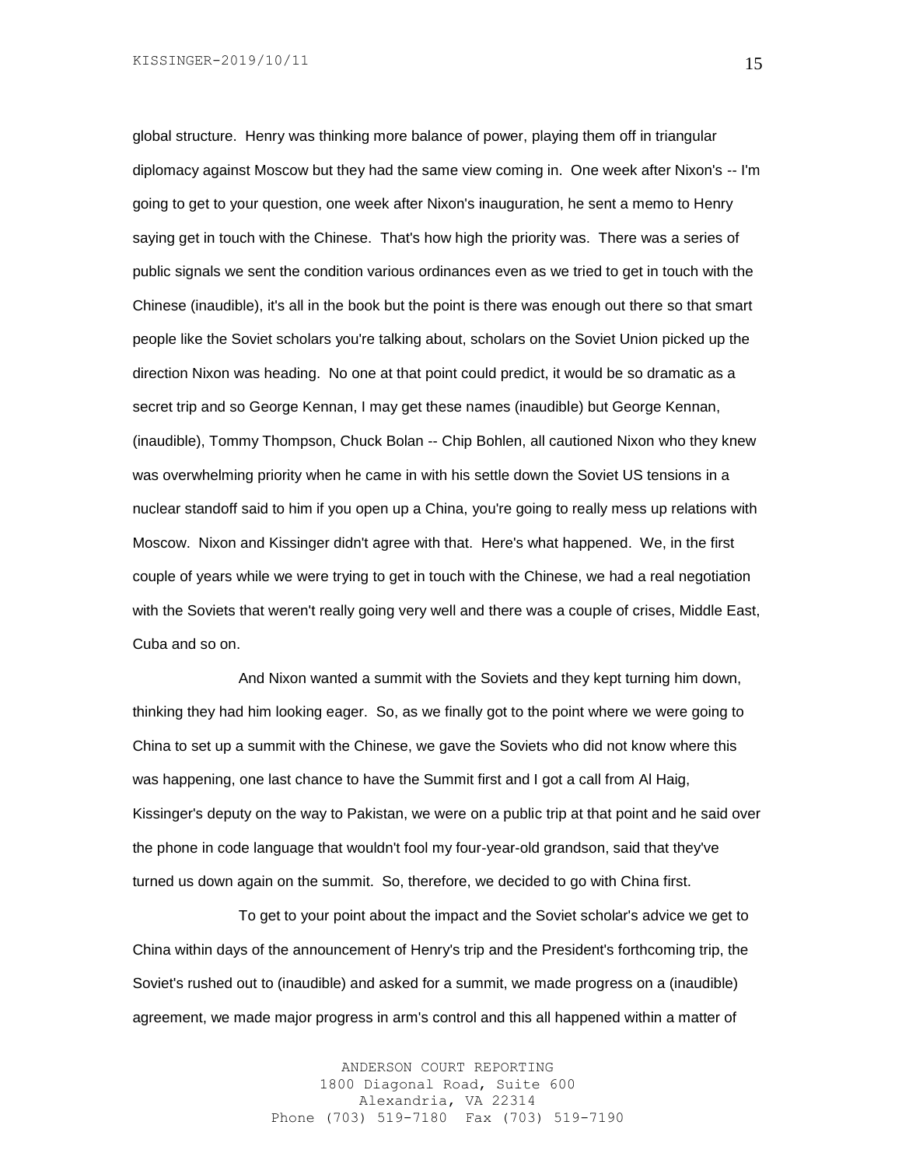global structure. Henry was thinking more balance of power, playing them off in triangular diplomacy against Moscow but they had the same view coming in. One week after Nixon's -- I'm going to get to your question, one week after Nixon's inauguration, he sent a memo to Henry saying get in touch with the Chinese. That's how high the priority was. There was a series of public signals we sent the condition various ordinances even as we tried to get in touch with the Chinese (inaudible), it's all in the book but the point is there was enough out there so that smart people like the Soviet scholars you're talking about, scholars on the Soviet Union picked up the direction Nixon was heading. No one at that point could predict, it would be so dramatic as a secret trip and so George Kennan, I may get these names (inaudible) but George Kennan, (inaudible), Tommy Thompson, Chuck Bolan -- Chip Bohlen, all cautioned Nixon who they knew was overwhelming priority when he came in with his settle down the Soviet US tensions in a nuclear standoff said to him if you open up a China, you're going to really mess up relations with Moscow. Nixon and Kissinger didn't agree with that. Here's what happened. We, in the first couple of years while we were trying to get in touch with the Chinese, we had a real negotiation with the Soviets that weren't really going very well and there was a couple of crises, Middle East, Cuba and so on.

And Nixon wanted a summit with the Soviets and they kept turning him down, thinking they had him looking eager. So, as we finally got to the point where we were going to China to set up a summit with the Chinese, we gave the Soviets who did not know where this was happening, one last chance to have the Summit first and I got a call from Al Haig, Kissinger's deputy on the way to Pakistan, we were on a public trip at that point and he said over the phone in code language that wouldn't fool my four-year-old grandson, said that they've turned us down again on the summit. So, therefore, we decided to go with China first.

To get to your point about the impact and the Soviet scholar's advice we get to China within days of the announcement of Henry's trip and the President's forthcoming trip, the Soviet's rushed out to (inaudible) and asked for a summit, we made progress on a (inaudible) agreement, we made major progress in arm's control and this all happened within a matter of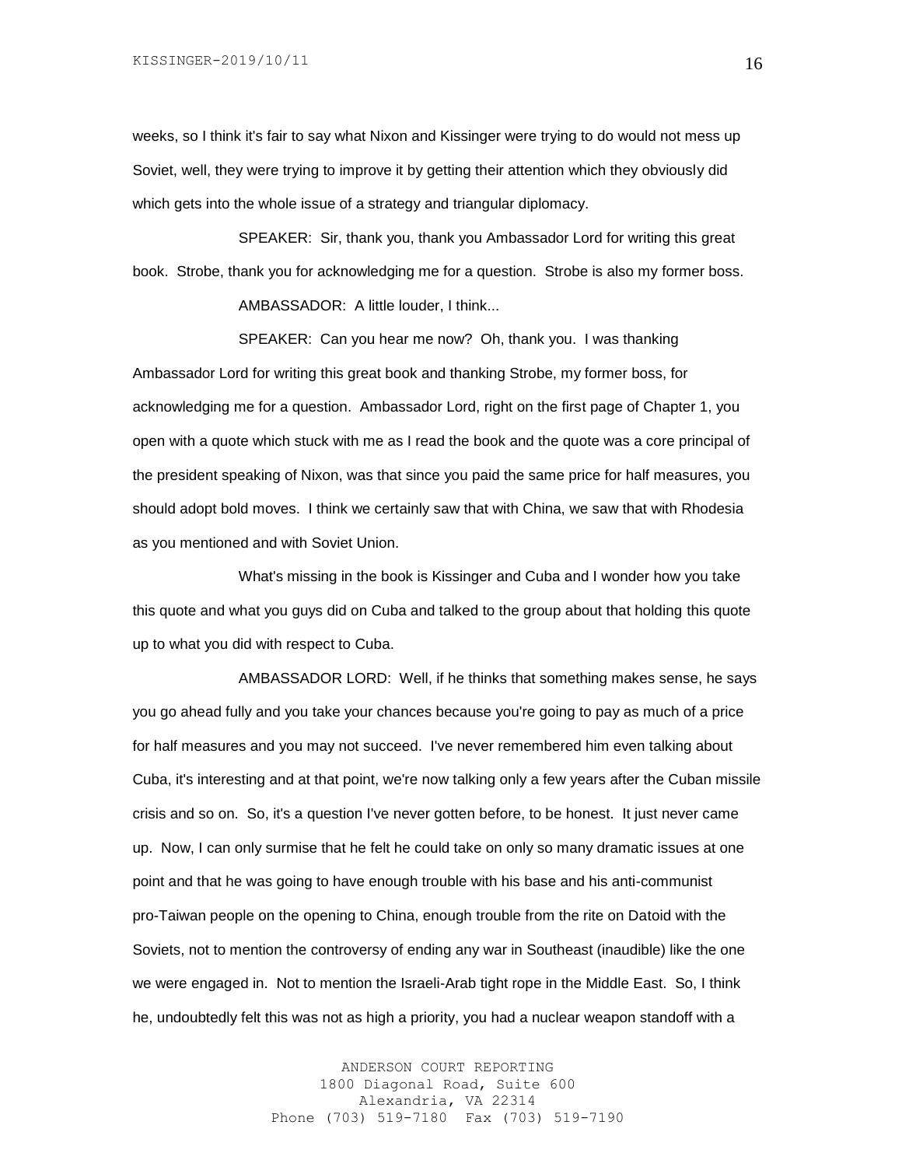weeks, so I think it's fair to say what Nixon and Kissinger were trying to do would not mess up Soviet, well, they were trying to improve it by getting their attention which they obviously did which gets into the whole issue of a strategy and triangular diplomacy.

SPEAKER: Sir, thank you, thank you Ambassador Lord for writing this great book. Strobe, thank you for acknowledging me for a question. Strobe is also my former boss.

AMBASSADOR: A little louder, I think...

SPEAKER: Can you hear me now? Oh, thank you. I was thanking Ambassador Lord for writing this great book and thanking Strobe, my former boss, for acknowledging me for a question. Ambassador Lord, right on the first page of Chapter 1, you open with a quote which stuck with me as I read the book and the quote was a core principal of the president speaking of Nixon, was that since you paid the same price for half measures, you should adopt bold moves. I think we certainly saw that with China, we saw that with Rhodesia as you mentioned and with Soviet Union.

What's missing in the book is Kissinger and Cuba and I wonder how you take this quote and what you guys did on Cuba and talked to the group about that holding this quote up to what you did with respect to Cuba.

AMBASSADOR LORD: Well, if he thinks that something makes sense, he says you go ahead fully and you take your chances because you're going to pay as much of a price for half measures and you may not succeed. I've never remembered him even talking about Cuba, it's interesting and at that point, we're now talking only a few years after the Cuban missile crisis and so on. So, it's a question I've never gotten before, to be honest. It just never came up. Now, I can only surmise that he felt he could take on only so many dramatic issues at one point and that he was going to have enough trouble with his base and his anti-communist pro-Taiwan people on the opening to China, enough trouble from the rite on Datoid with the Soviets, not to mention the controversy of ending any war in Southeast (inaudible) like the one we were engaged in. Not to mention the Israeli-Arab tight rope in the Middle East. So, I think he, undoubtedly felt this was not as high a priority, you had a nuclear weapon standoff with a

> ANDERSON COURT REPORTING 1800 Diagonal Road, Suite 600 Alexandria, VA 22314 Phone (703) 519-7180 Fax (703) 519-7190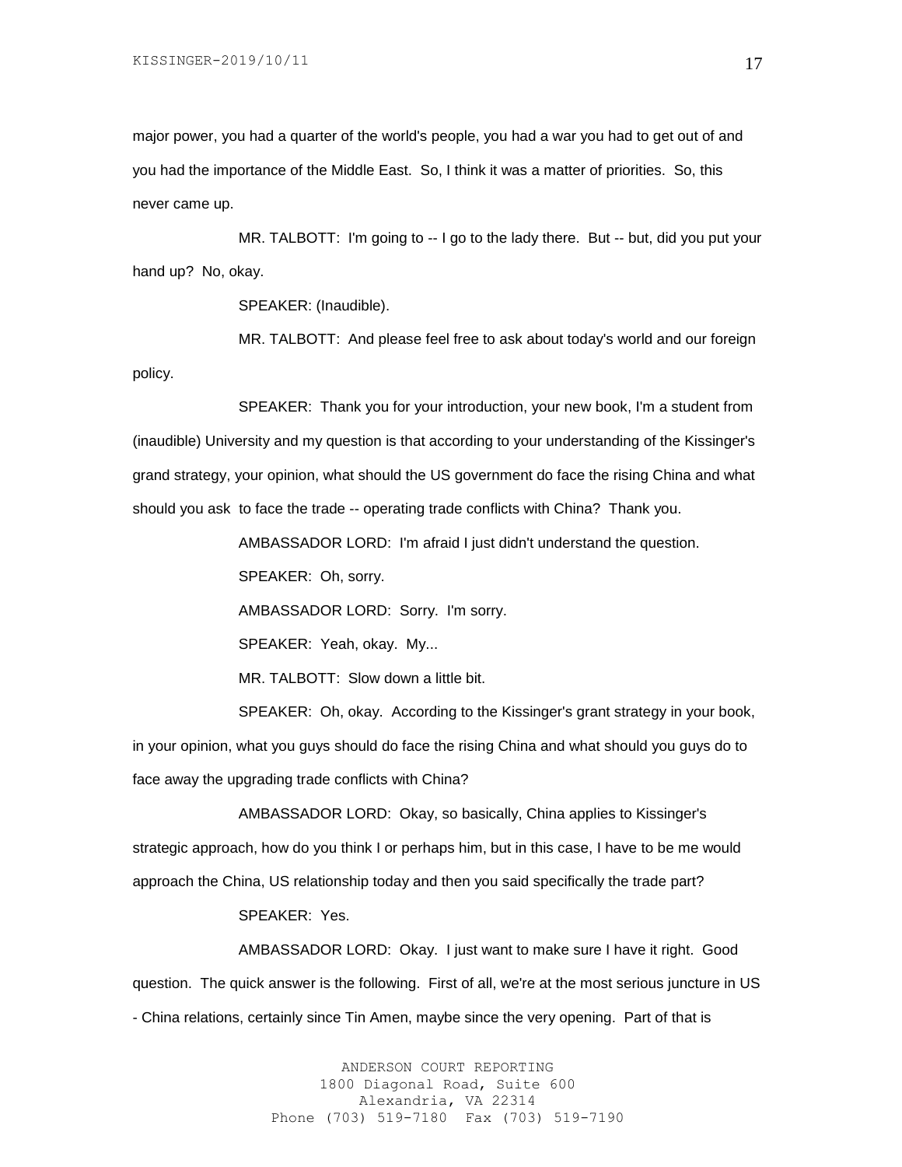major power, you had a quarter of the world's people, you had a war you had to get out of and you had the importance of the Middle East. So, I think it was a matter of priorities. So, this never came up.

MR. TALBOTT: I'm going to -- I go to the lady there. But -- but, did you put your hand up? No, okay.

SPEAKER: (Inaudible).

MR. TALBOTT: And please feel free to ask about today's world and our foreign policy.

SPEAKER: Thank you for your introduction, your new book, I'm a student from (inaudible) University and my question is that according to your understanding of the Kissinger's grand strategy, your opinion, what should the US government do face the rising China and what should you ask to face the trade -- operating trade conflicts with China? Thank you.

> AMBASSADOR LORD: I'm afraid I just didn't understand the question. SPEAKER: Oh, sorry.

AMBASSADOR LORD: Sorry. I'm sorry.

SPEAKER: Yeah, okay. My...

MR. TALBOTT: Slow down a little bit.

SPEAKER: Oh, okay. According to the Kissinger's grant strategy in your book, in your opinion, what you guys should do face the rising China and what should you guys do to face away the upgrading trade conflicts with China?

AMBASSADOR LORD: Okay, so basically, China applies to Kissinger's strategic approach, how do you think I or perhaps him, but in this case, I have to be me would approach the China, US relationship today and then you said specifically the trade part?

SPEAKER: Yes.

AMBASSADOR LORD: Okay. I just want to make sure I have it right. Good question. The quick answer is the following. First of all, we're at the most serious juncture in US - China relations, certainly since Tin Amen, maybe since the very opening. Part of that is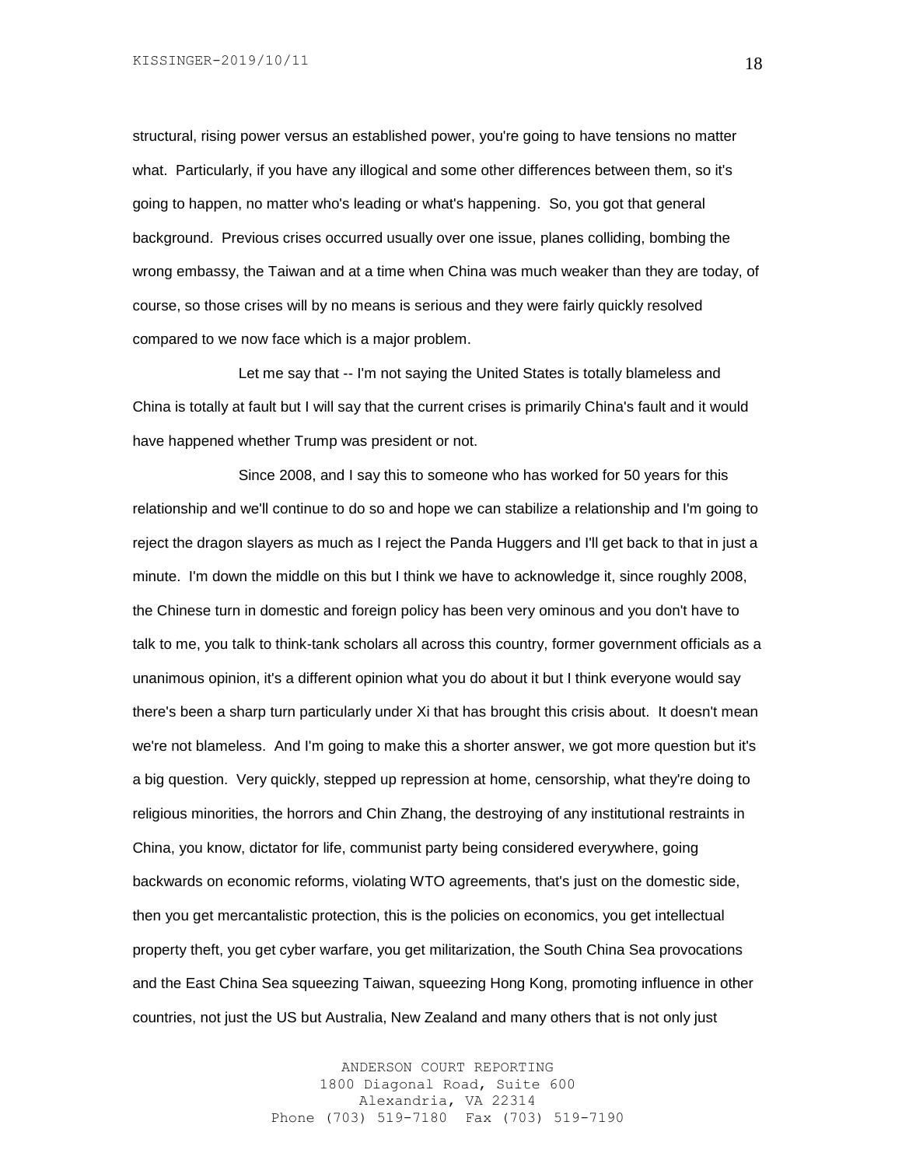structural, rising power versus an established power, you're going to have tensions no matter what. Particularly, if you have any illogical and some other differences between them, so it's going to happen, no matter who's leading or what's happening. So, you got that general background. Previous crises occurred usually over one issue, planes colliding, bombing the wrong embassy, the Taiwan and at a time when China was much weaker than they are today, of course, so those crises will by no means is serious and they were fairly quickly resolved compared to we now face which is a major problem.

Let me say that -- I'm not saying the United States is totally blameless and China is totally at fault but I will say that the current crises is primarily China's fault and it would have happened whether Trump was president or not.

Since 2008, and I say this to someone who has worked for 50 years for this relationship and we'll continue to do so and hope we can stabilize a relationship and I'm going to reject the dragon slayers as much as I reject the Panda Huggers and I'll get back to that in just a minute. I'm down the middle on this but I think we have to acknowledge it, since roughly 2008, the Chinese turn in domestic and foreign policy has been very ominous and you don't have to talk to me, you talk to think-tank scholars all across this country, former government officials as a unanimous opinion, it's a different opinion what you do about it but I think everyone would say there's been a sharp turn particularly under Xi that has brought this crisis about. It doesn't mean we're not blameless. And I'm going to make this a shorter answer, we got more question but it's a big question. Very quickly, stepped up repression at home, censorship, what they're doing to religious minorities, the horrors and Chin Zhang, the destroying of any institutional restraints in China, you know, dictator for life, communist party being considered everywhere, going backwards on economic reforms, violating WTO agreements, that's just on the domestic side, then you get mercantalistic protection, this is the policies on economics, you get intellectual property theft, you get cyber warfare, you get militarization, the South China Sea provocations and the East China Sea squeezing Taiwan, squeezing Hong Kong, promoting influence in other countries, not just the US but Australia, New Zealand and many others that is not only just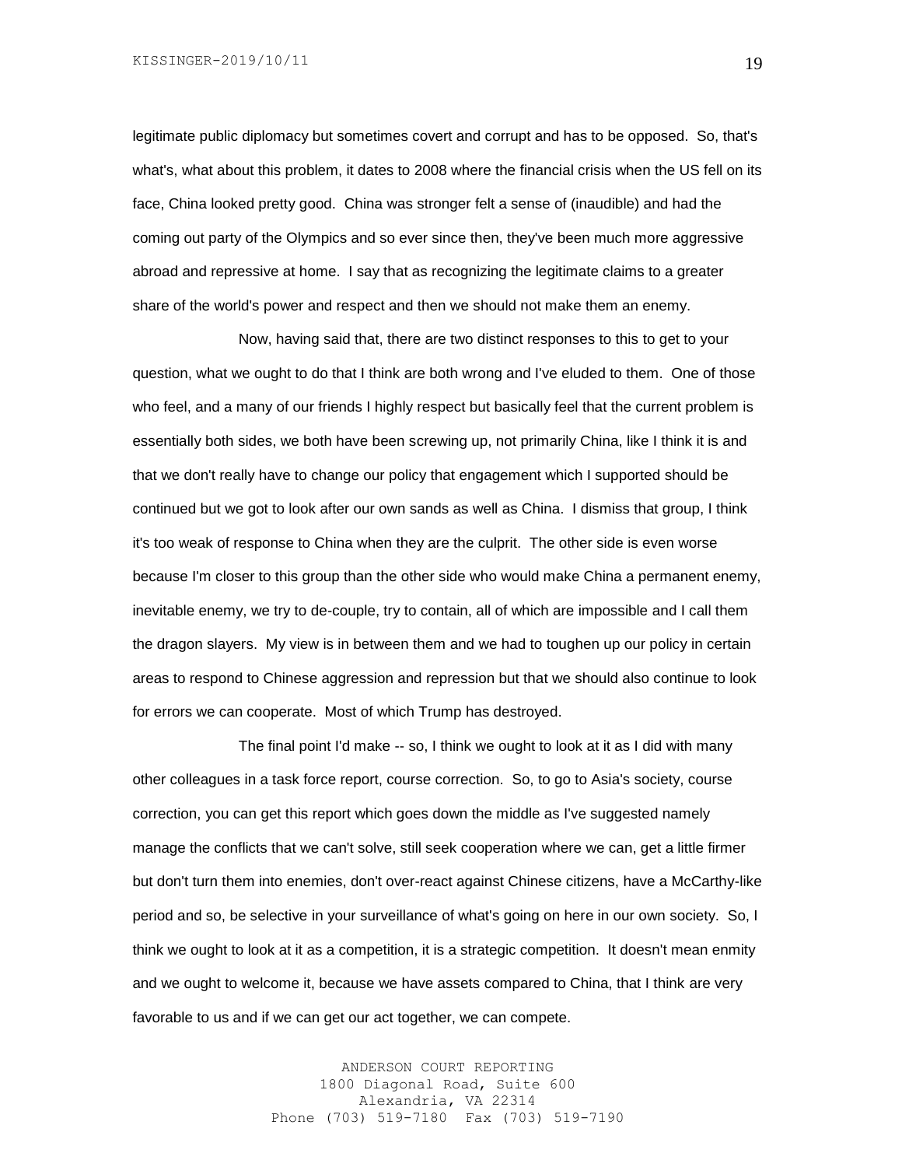legitimate public diplomacy but sometimes covert and corrupt and has to be opposed. So, that's what's, what about this problem, it dates to 2008 where the financial crisis when the US fell on its face, China looked pretty good. China was stronger felt a sense of (inaudible) and had the coming out party of the Olympics and so ever since then, they've been much more aggressive abroad and repressive at home. I say that as recognizing the legitimate claims to a greater share of the world's power and respect and then we should not make them an enemy.

Now, having said that, there are two distinct responses to this to get to your question, what we ought to do that I think are both wrong and I've eluded to them. One of those who feel, and a many of our friends I highly respect but basically feel that the current problem is essentially both sides, we both have been screwing up, not primarily China, like I think it is and that we don't really have to change our policy that engagement which I supported should be continued but we got to look after our own sands as well as China. I dismiss that group, I think it's too weak of response to China when they are the culprit. The other side is even worse because I'm closer to this group than the other side who would make China a permanent enemy, inevitable enemy, we try to de-couple, try to contain, all of which are impossible and I call them the dragon slayers. My view is in between them and we had to toughen up our policy in certain areas to respond to Chinese aggression and repression but that we should also continue to look for errors we can cooperate. Most of which Trump has destroyed.

The final point I'd make -- so, I think we ought to look at it as I did with many other colleagues in a task force report, course correction. So, to go to Asia's society, course correction, you can get this report which goes down the middle as I've suggested namely manage the conflicts that we can't solve, still seek cooperation where we can, get a little firmer but don't turn them into enemies, don't over-react against Chinese citizens, have a McCarthy-like period and so, be selective in your surveillance of what's going on here in our own society. So, I think we ought to look at it as a competition, it is a strategic competition. It doesn't mean enmity and we ought to welcome it, because we have assets compared to China, that I think are very favorable to us and if we can get our act together, we can compete.

> ANDERSON COURT REPORTING 1800 Diagonal Road, Suite 600 Alexandria, VA 22314 Phone (703) 519-7180 Fax (703) 519-7190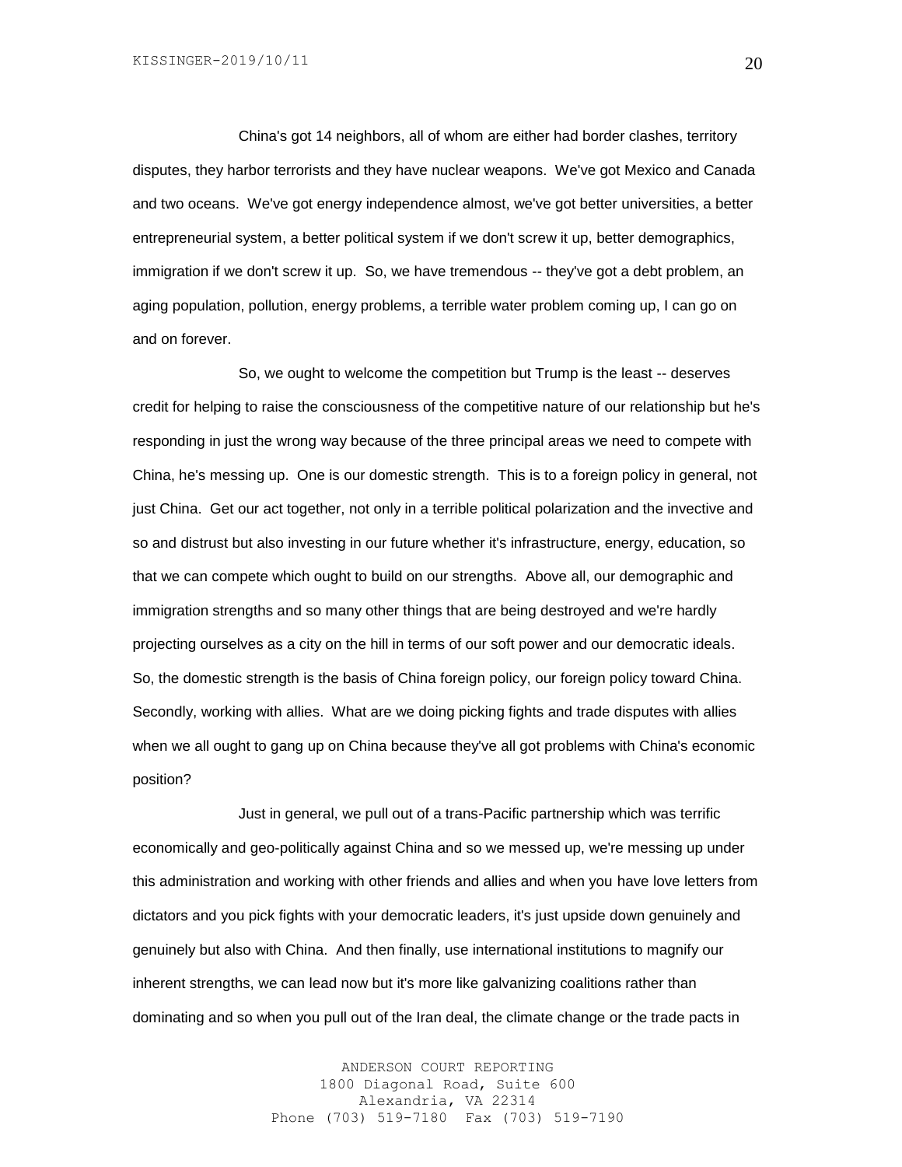China's got 14 neighbors, all of whom are either had border clashes, territory disputes, they harbor terrorists and they have nuclear weapons. We've got Mexico and Canada and two oceans. We've got energy independence almost, we've got better universities, a better entrepreneurial system, a better political system if we don't screw it up, better demographics, immigration if we don't screw it up. So, we have tremendous -- they've got a debt problem, an aging population, pollution, energy problems, a terrible water problem coming up, I can go on and on forever.

So, we ought to welcome the competition but Trump is the least -- deserves credit for helping to raise the consciousness of the competitive nature of our relationship but he's responding in just the wrong way because of the three principal areas we need to compete with China, he's messing up. One is our domestic strength. This is to a foreign policy in general, not just China. Get our act together, not only in a terrible political polarization and the invective and so and distrust but also investing in our future whether it's infrastructure, energy, education, so that we can compete which ought to build on our strengths. Above all, our demographic and immigration strengths and so many other things that are being destroyed and we're hardly projecting ourselves as a city on the hill in terms of our soft power and our democratic ideals. So, the domestic strength is the basis of China foreign policy, our foreign policy toward China. Secondly, working with allies. What are we doing picking fights and trade disputes with allies when we all ought to gang up on China because they've all got problems with China's economic position?

Just in general, we pull out of a trans-Pacific partnership which was terrific economically and geo-politically against China and so we messed up, we're messing up under this administration and working with other friends and allies and when you have love letters from dictators and you pick fights with your democratic leaders, it's just upside down genuinely and genuinely but also with China. And then finally, use international institutions to magnify our inherent strengths, we can lead now but it's more like galvanizing coalitions rather than dominating and so when you pull out of the Iran deal, the climate change or the trade pacts in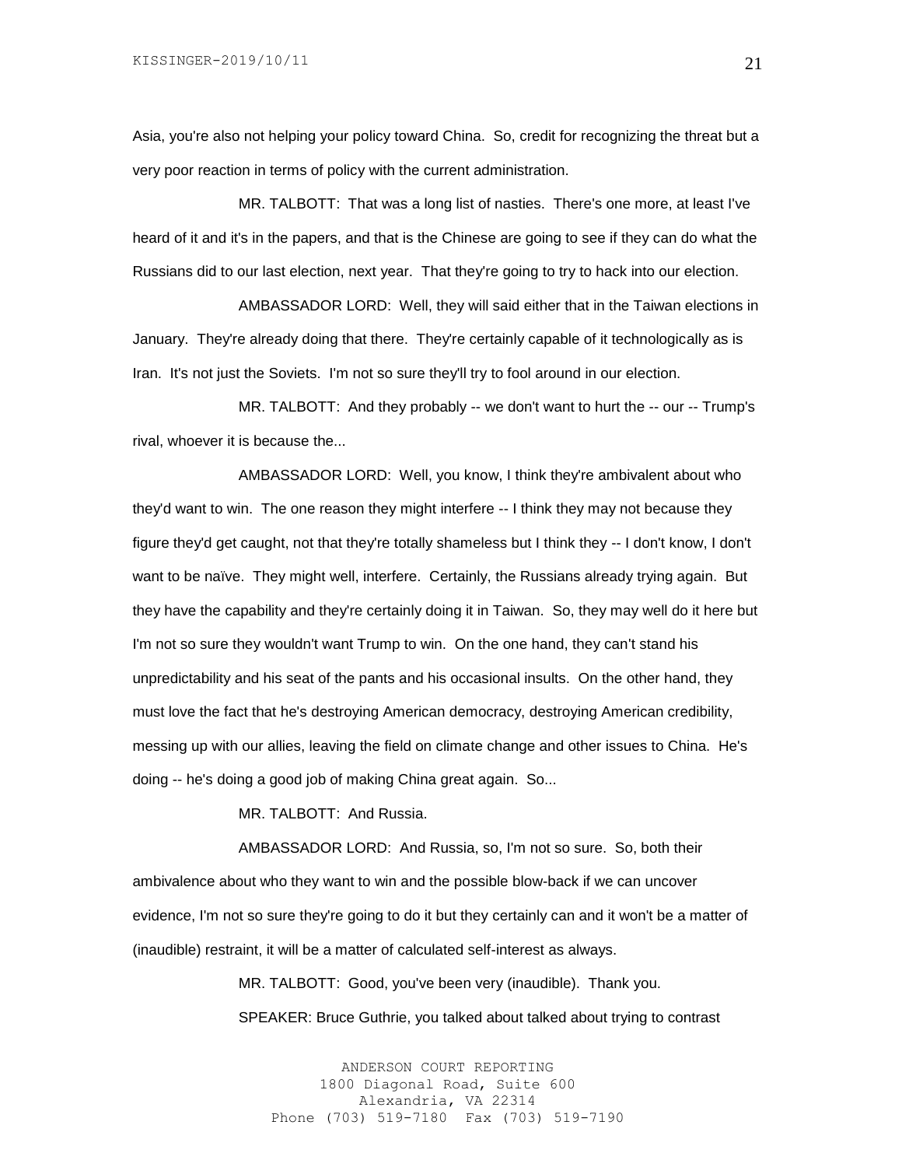Asia, you're also not helping your policy toward China. So, credit for recognizing the threat but a very poor reaction in terms of policy with the current administration.

MR. TALBOTT: That was a long list of nasties. There's one more, at least I've heard of it and it's in the papers, and that is the Chinese are going to see if they can do what the Russians did to our last election, next year. That they're going to try to hack into our election.

AMBASSADOR LORD: Well, they will said either that in the Taiwan elections in January. They're already doing that there. They're certainly capable of it technologically as is Iran. It's not just the Soviets. I'm not so sure they'll try to fool around in our election.

MR. TALBOTT: And they probably -- we don't want to hurt the -- our -- Trump's rival, whoever it is because the...

AMBASSADOR LORD: Well, you know, I think they're ambivalent about who they'd want to win. The one reason they might interfere -- I think they may not because they figure they'd get caught, not that they're totally shameless but I think they -- I don't know, I don't want to be naïve. They might well, interfere. Certainly, the Russians already trying again. But they have the capability and they're certainly doing it in Taiwan. So, they may well do it here but I'm not so sure they wouldn't want Trump to win. On the one hand, they can't stand his unpredictability and his seat of the pants and his occasional insults. On the other hand, they must love the fact that he's destroying American democracy, destroying American credibility, messing up with our allies, leaving the field on climate change and other issues to China. He's doing -- he's doing a good job of making China great again. So...

MR. TALBOTT: And Russia.

AMBASSADOR LORD: And Russia, so, I'm not so sure. So, both their ambivalence about who they want to win and the possible blow-back if we can uncover evidence, I'm not so sure they're going to do it but they certainly can and it won't be a matter of (inaudible) restraint, it will be a matter of calculated self-interest as always.

> MR. TALBOTT: Good, you've been very (inaudible). Thank you. SPEAKER: Bruce Guthrie, you talked about talked about trying to contrast

ANDERSON COURT REPORTING 1800 Diagonal Road, Suite 600 Alexandria, VA 22314 Phone (703) 519-7180 Fax (703) 519-7190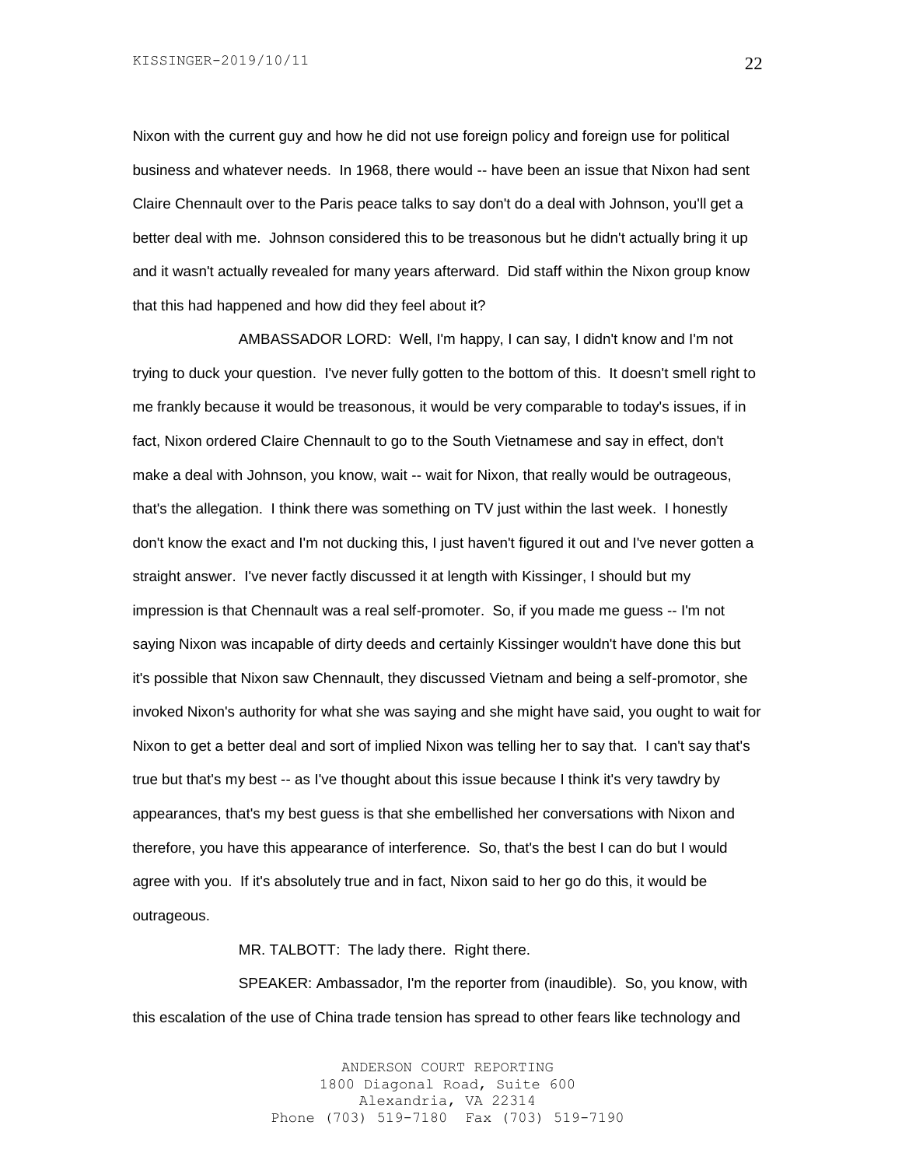Nixon with the current guy and how he did not use foreign policy and foreign use for political business and whatever needs. In 1968, there would -- have been an issue that Nixon had sent Claire Chennault over to the Paris peace talks to say don't do a deal with Johnson, you'll get a better deal with me. Johnson considered this to be treasonous but he didn't actually bring it up and it wasn't actually revealed for many years afterward. Did staff within the Nixon group know that this had happened and how did they feel about it?

AMBASSADOR LORD: Well, I'm happy, I can say, I didn't know and I'm not trying to duck your question. I've never fully gotten to the bottom of this. It doesn't smell right to me frankly because it would be treasonous, it would be very comparable to today's issues, if in fact, Nixon ordered Claire Chennault to go to the South Vietnamese and say in effect, don't make a deal with Johnson, you know, wait -- wait for Nixon, that really would be outrageous, that's the allegation. I think there was something on TV just within the last week. I honestly don't know the exact and I'm not ducking this, I just haven't figured it out and I've never gotten a straight answer. I've never factly discussed it at length with Kissinger, I should but my impression is that Chennault was a real self-promoter. So, if you made me guess -- I'm not saying Nixon was incapable of dirty deeds and certainly Kissinger wouldn't have done this but it's possible that Nixon saw Chennault, they discussed Vietnam and being a self-promotor, she invoked Nixon's authority for what she was saying and she might have said, you ought to wait for Nixon to get a better deal and sort of implied Nixon was telling her to say that. I can't say that's true but that's my best -- as I've thought about this issue because I think it's very tawdry by appearances, that's my best guess is that she embellished her conversations with Nixon and therefore, you have this appearance of interference. So, that's the best I can do but I would agree with you. If it's absolutely true and in fact, Nixon said to her go do this, it would be outrageous.

MR. TALBOTT: The lady there. Right there.

SPEAKER: Ambassador, I'm the reporter from (inaudible). So, you know, with this escalation of the use of China trade tension has spread to other fears like technology and

> ANDERSON COURT REPORTING 1800 Diagonal Road, Suite 600 Alexandria, VA 22314 Phone (703) 519-7180 Fax (703) 519-7190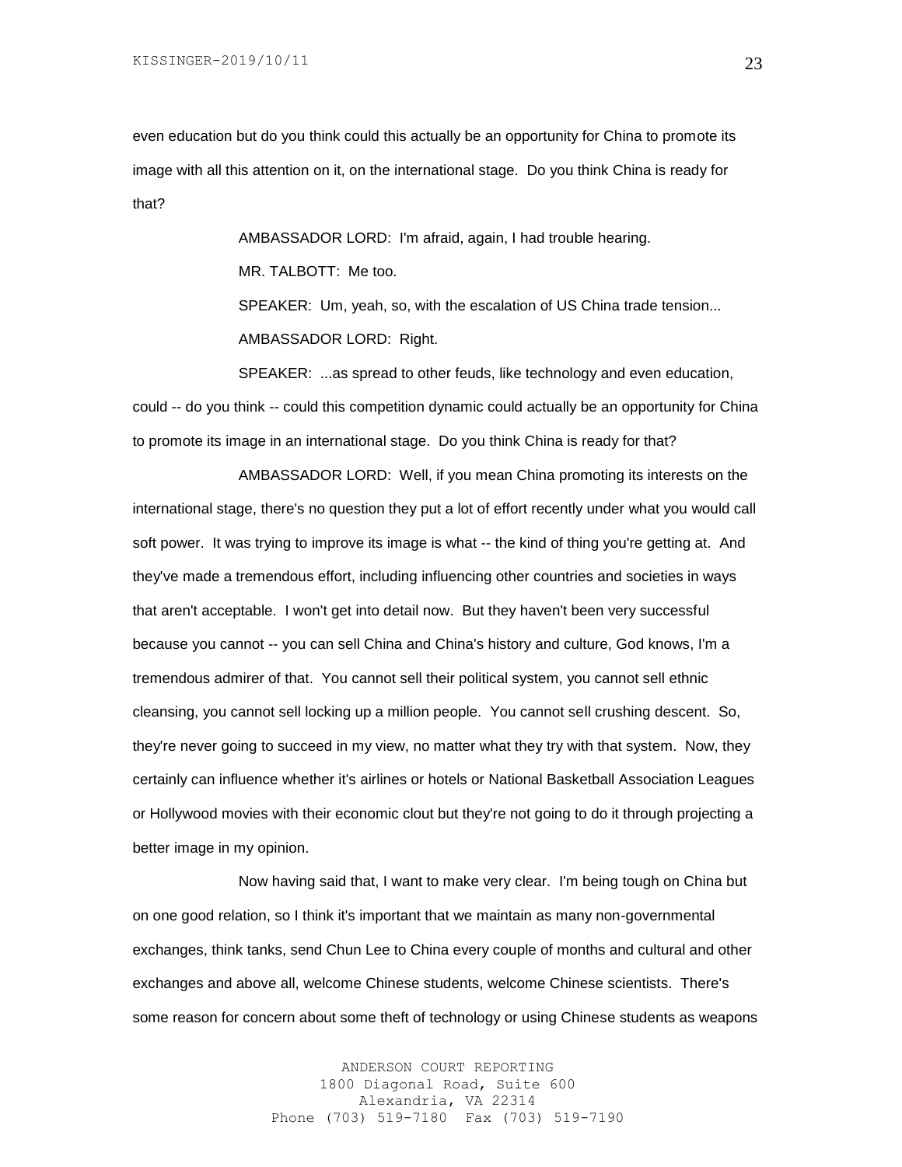even education but do you think could this actually be an opportunity for China to promote its image with all this attention on it, on the international stage. Do you think China is ready for that?

> AMBASSADOR LORD: I'm afraid, again, I had trouble hearing. MR. TALBOTT: Me too. SPEAKER: Um, yeah, so, with the escalation of US China trade tension... AMBASSADOR LORD: Right.

SPEAKER: ...as spread to other feuds, like technology and even education, could -- do you think -- could this competition dynamic could actually be an opportunity for China to promote its image in an international stage. Do you think China is ready for that?

AMBASSADOR LORD: Well, if you mean China promoting its interests on the international stage, there's no question they put a lot of effort recently under what you would call soft power. It was trying to improve its image is what -- the kind of thing you're getting at. And they've made a tremendous effort, including influencing other countries and societies in ways that aren't acceptable. I won't get into detail now. But they haven't been very successful because you cannot -- you can sell China and China's history and culture, God knows, I'm a tremendous admirer of that. You cannot sell their political system, you cannot sell ethnic cleansing, you cannot sell locking up a million people. You cannot sell crushing descent. So, they're never going to succeed in my view, no matter what they try with that system. Now, they certainly can influence whether it's airlines or hotels or National Basketball Association Leagues or Hollywood movies with their economic clout but they're not going to do it through projecting a better image in my opinion.

Now having said that, I want to make very clear. I'm being tough on China but on one good relation, so I think it's important that we maintain as many non-governmental exchanges, think tanks, send Chun Lee to China every couple of months and cultural and other exchanges and above all, welcome Chinese students, welcome Chinese scientists. There's some reason for concern about some theft of technology or using Chinese students as weapons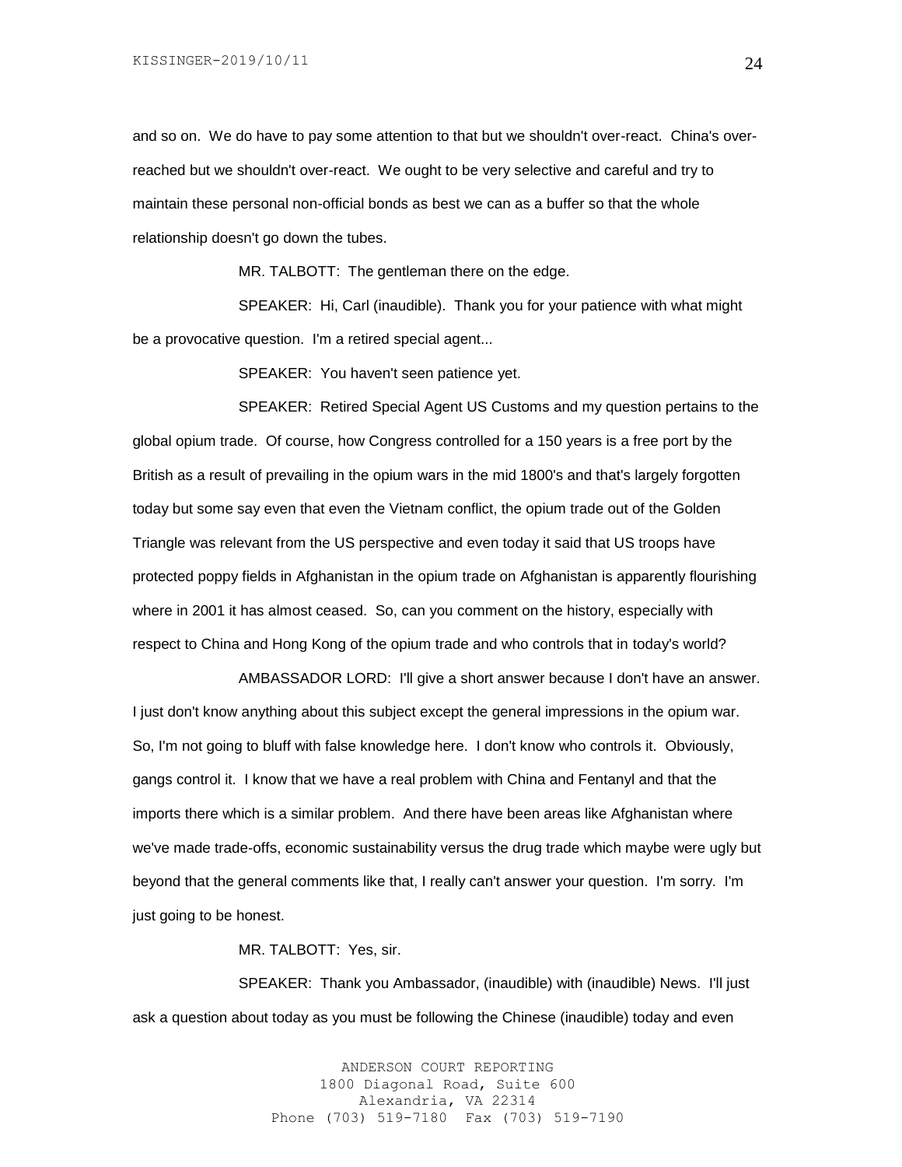and so on. We do have to pay some attention to that but we shouldn't over-react. China's overreached but we shouldn't over-react. We ought to be very selective and careful and try to maintain these personal non-official bonds as best we can as a buffer so that the whole relationship doesn't go down the tubes.

MR. TALBOTT: The gentleman there on the edge.

SPEAKER: Hi, Carl (inaudible). Thank you for your patience with what might be a provocative question. I'm a retired special agent...

SPEAKER: You haven't seen patience yet.

SPEAKER: Retired Special Agent US Customs and my question pertains to the global opium trade. Of course, how Congress controlled for a 150 years is a free port by the British as a result of prevailing in the opium wars in the mid 1800's and that's largely forgotten today but some say even that even the Vietnam conflict, the opium trade out of the Golden Triangle was relevant from the US perspective and even today it said that US troops have protected poppy fields in Afghanistan in the opium trade on Afghanistan is apparently flourishing where in 2001 it has almost ceased. So, can you comment on the history, especially with respect to China and Hong Kong of the opium trade and who controls that in today's world?

AMBASSADOR LORD: I'll give a short answer because I don't have an answer. I just don't know anything about this subject except the general impressions in the opium war. So, I'm not going to bluff with false knowledge here. I don't know who controls it. Obviously, gangs control it. I know that we have a real problem with China and Fentanyl and that the imports there which is a similar problem. And there have been areas like Afghanistan where we've made trade-offs, economic sustainability versus the drug trade which maybe were ugly but beyond that the general comments like that, I really can't answer your question. I'm sorry. I'm just going to be honest.

MR. TALBOTT: Yes, sir.

SPEAKER: Thank you Ambassador, (inaudible) with (inaudible) News. I'll just ask a question about today as you must be following the Chinese (inaudible) today and even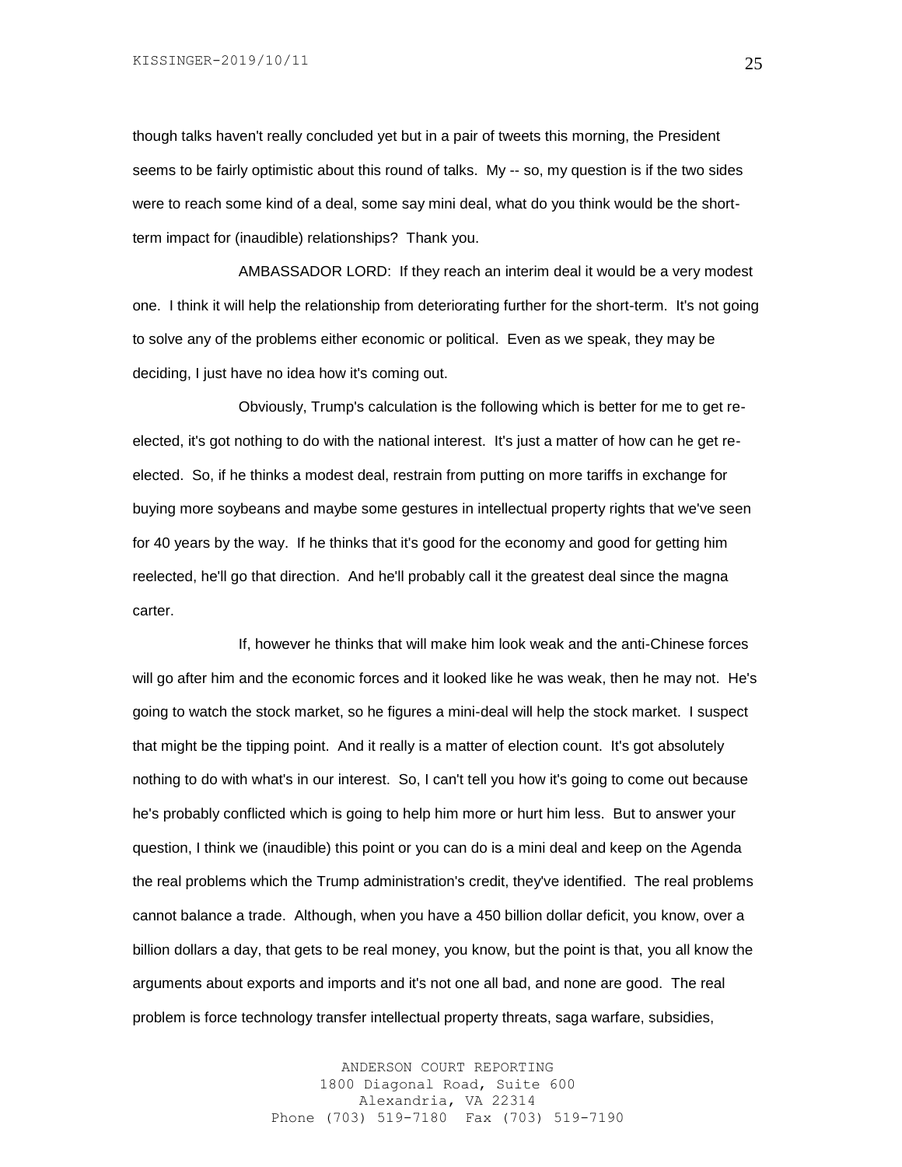though talks haven't really concluded yet but in a pair of tweets this morning, the President seems to be fairly optimistic about this round of talks. My -- so, my question is if the two sides were to reach some kind of a deal, some say mini deal, what do you think would be the shortterm impact for (inaudible) relationships? Thank you.

AMBASSADOR LORD: If they reach an interim deal it would be a very modest one. I think it will help the relationship from deteriorating further for the short-term. It's not going to solve any of the problems either economic or political. Even as we speak, they may be deciding, I just have no idea how it's coming out.

Obviously, Trump's calculation is the following which is better for me to get reelected, it's got nothing to do with the national interest. It's just a matter of how can he get reelected. So, if he thinks a modest deal, restrain from putting on more tariffs in exchange for buying more soybeans and maybe some gestures in intellectual property rights that we've seen for 40 years by the way. If he thinks that it's good for the economy and good for getting him reelected, he'll go that direction. And he'll probably call it the greatest deal since the magna carter.

If, however he thinks that will make him look weak and the anti-Chinese forces will go after him and the economic forces and it looked like he was weak, then he may not. He's going to watch the stock market, so he figures a mini-deal will help the stock market. I suspect that might be the tipping point. And it really is a matter of election count. It's got absolutely nothing to do with what's in our interest. So, I can't tell you how it's going to come out because he's probably conflicted which is going to help him more or hurt him less. But to answer your question, I think we (inaudible) this point or you can do is a mini deal and keep on the Agenda the real problems which the Trump administration's credit, they've identified. The real problems cannot balance a trade. Although, when you have a 450 billion dollar deficit, you know, over a billion dollars a day, that gets to be real money, you know, but the point is that, you all know the arguments about exports and imports and it's not one all bad, and none are good. The real problem is force technology transfer intellectual property threats, saga warfare, subsidies,

> ANDERSON COURT REPORTING 1800 Diagonal Road, Suite 600 Alexandria, VA 22314 Phone (703) 519-7180 Fax (703) 519-7190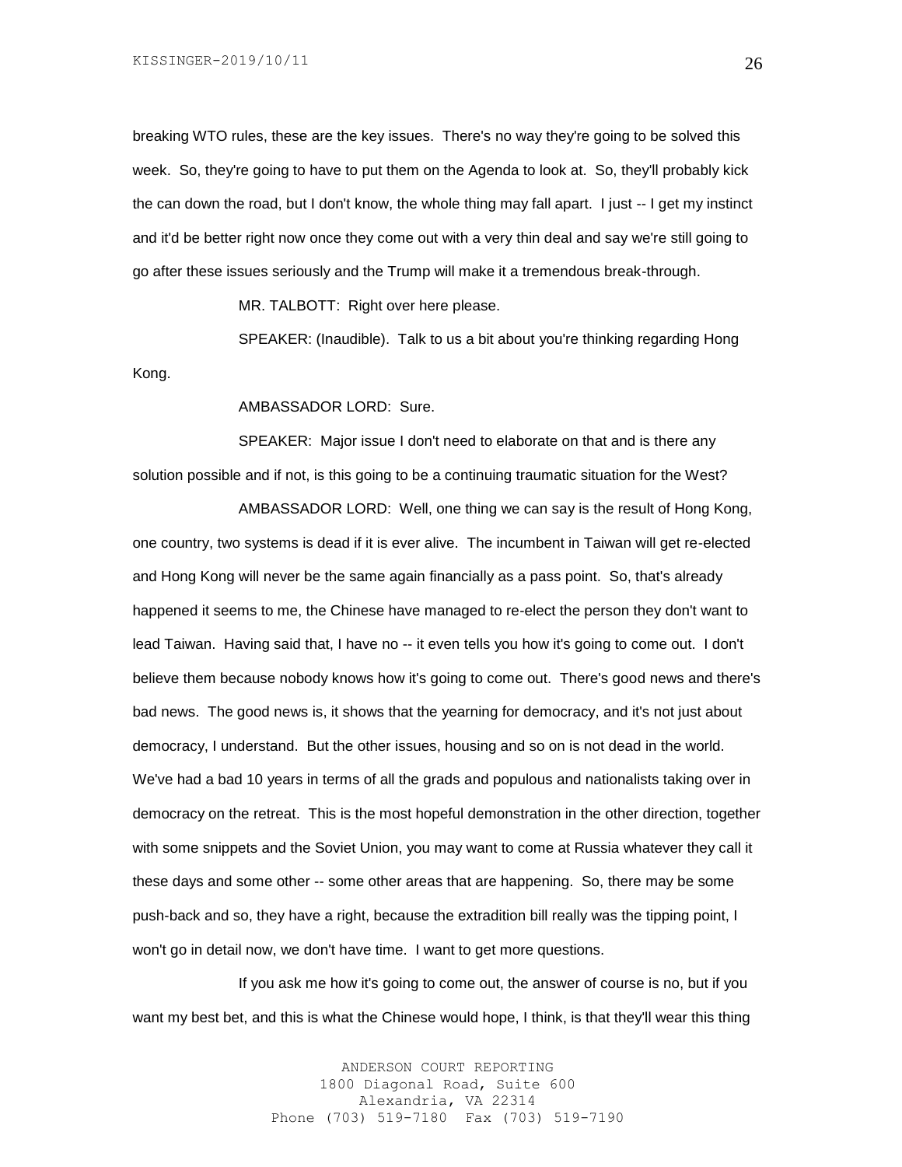breaking WTO rules, these are the key issues. There's no way they're going to be solved this week. So, they're going to have to put them on the Agenda to look at. So, they'll probably kick the can down the road, but I don't know, the whole thing may fall apart. I just -- I get my instinct and it'd be better right now once they come out with a very thin deal and say we're still going to go after these issues seriously and the Trump will make it a tremendous break-through.

MR. TALBOTT: Right over here please.

SPEAKER: (Inaudible). Talk to us a bit about you're thinking regarding Hong Kong.

AMBASSADOR LORD: Sure.

SPEAKER: Major issue I don't need to elaborate on that and is there any solution possible and if not, is this going to be a continuing traumatic situation for the West?

AMBASSADOR LORD: Well, one thing we can say is the result of Hong Kong, one country, two systems is dead if it is ever alive. The incumbent in Taiwan will get re-elected and Hong Kong will never be the same again financially as a pass point. So, that's already happened it seems to me, the Chinese have managed to re-elect the person they don't want to lead Taiwan. Having said that, I have no -- it even tells you how it's going to come out. I don't believe them because nobody knows how it's going to come out. There's good news and there's bad news. The good news is, it shows that the yearning for democracy, and it's not just about democracy, I understand. But the other issues, housing and so on is not dead in the world. We've had a bad 10 years in terms of all the grads and populous and nationalists taking over in democracy on the retreat. This is the most hopeful demonstration in the other direction, together with some snippets and the Soviet Union, you may want to come at Russia whatever they call it these days and some other -- some other areas that are happening. So, there may be some push-back and so, they have a right, because the extradition bill really was the tipping point, I won't go in detail now, we don't have time. I want to get more questions.

If you ask me how it's going to come out, the answer of course is no, but if you want my best bet, and this is what the Chinese would hope, I think, is that they'll wear this thing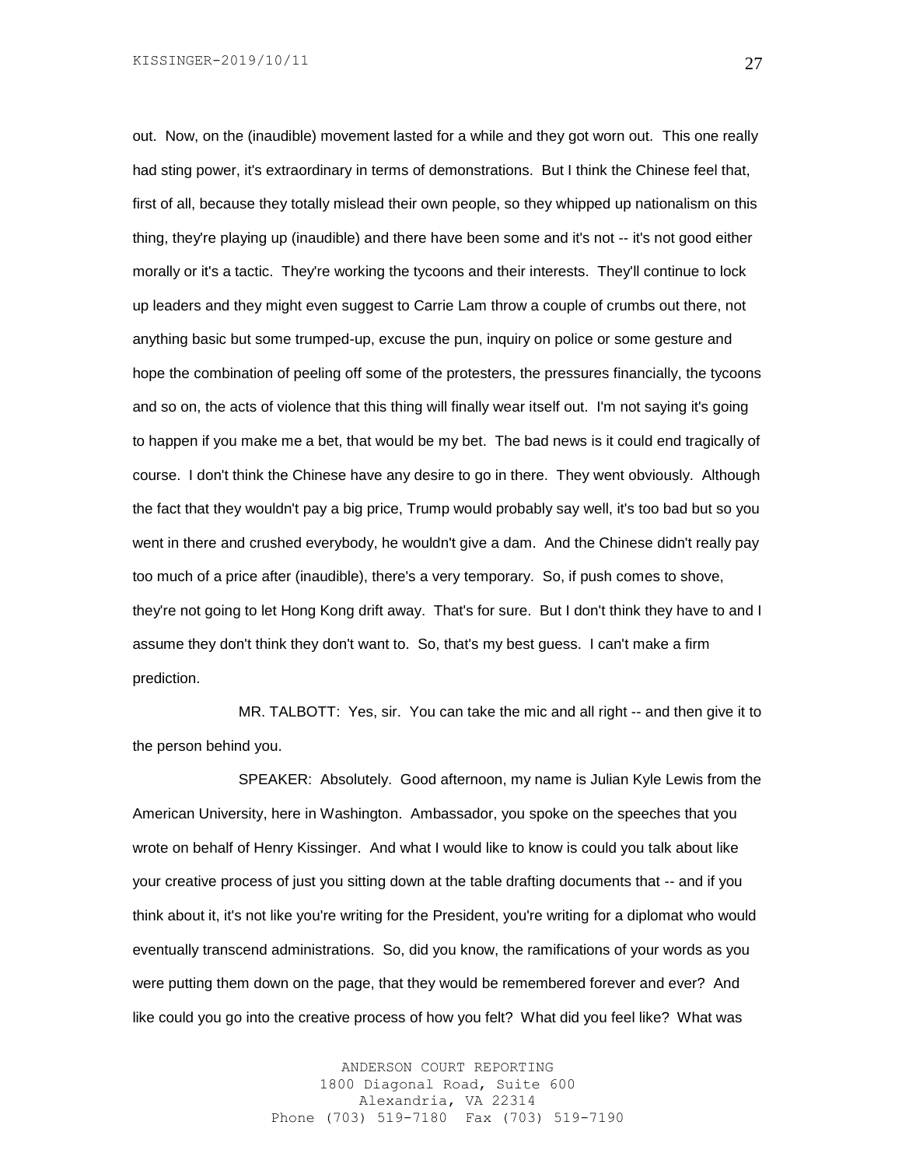out. Now, on the (inaudible) movement lasted for a while and they got worn out. This one really had sting power, it's extraordinary in terms of demonstrations. But I think the Chinese feel that, first of all, because they totally mislead their own people, so they whipped up nationalism on this thing, they're playing up (inaudible) and there have been some and it's not -- it's not good either morally or it's a tactic. They're working the tycoons and their interests. They'll continue to lock up leaders and they might even suggest to Carrie Lam throw a couple of crumbs out there, not anything basic but some trumped-up, excuse the pun, inquiry on police or some gesture and hope the combination of peeling off some of the protesters, the pressures financially, the tycoons and so on, the acts of violence that this thing will finally wear itself out. I'm not saying it's going to happen if you make me a bet, that would be my bet. The bad news is it could end tragically of course. I don't think the Chinese have any desire to go in there. They went obviously. Although the fact that they wouldn't pay a big price, Trump would probably say well, it's too bad but so you went in there and crushed everybody, he wouldn't give a dam. And the Chinese didn't really pay too much of a price after (inaudible), there's a very temporary. So, if push comes to shove, they're not going to let Hong Kong drift away. That's for sure. But I don't think they have to and I assume they don't think they don't want to. So, that's my best guess. I can't make a firm prediction.

MR. TALBOTT: Yes, sir. You can take the mic and all right -- and then give it to the person behind you.

SPEAKER: Absolutely. Good afternoon, my name is Julian Kyle Lewis from the American University, here in Washington. Ambassador, you spoke on the speeches that you wrote on behalf of Henry Kissinger. And what I would like to know is could you talk about like your creative process of just you sitting down at the table drafting documents that -- and if you think about it, it's not like you're writing for the President, you're writing for a diplomat who would eventually transcend administrations. So, did you know, the ramifications of your words as you were putting them down on the page, that they would be remembered forever and ever? And like could you go into the creative process of how you felt? What did you feel like? What was

> ANDERSON COURT REPORTING 1800 Diagonal Road, Suite 600 Alexandria, VA 22314 Phone (703) 519-7180 Fax (703) 519-7190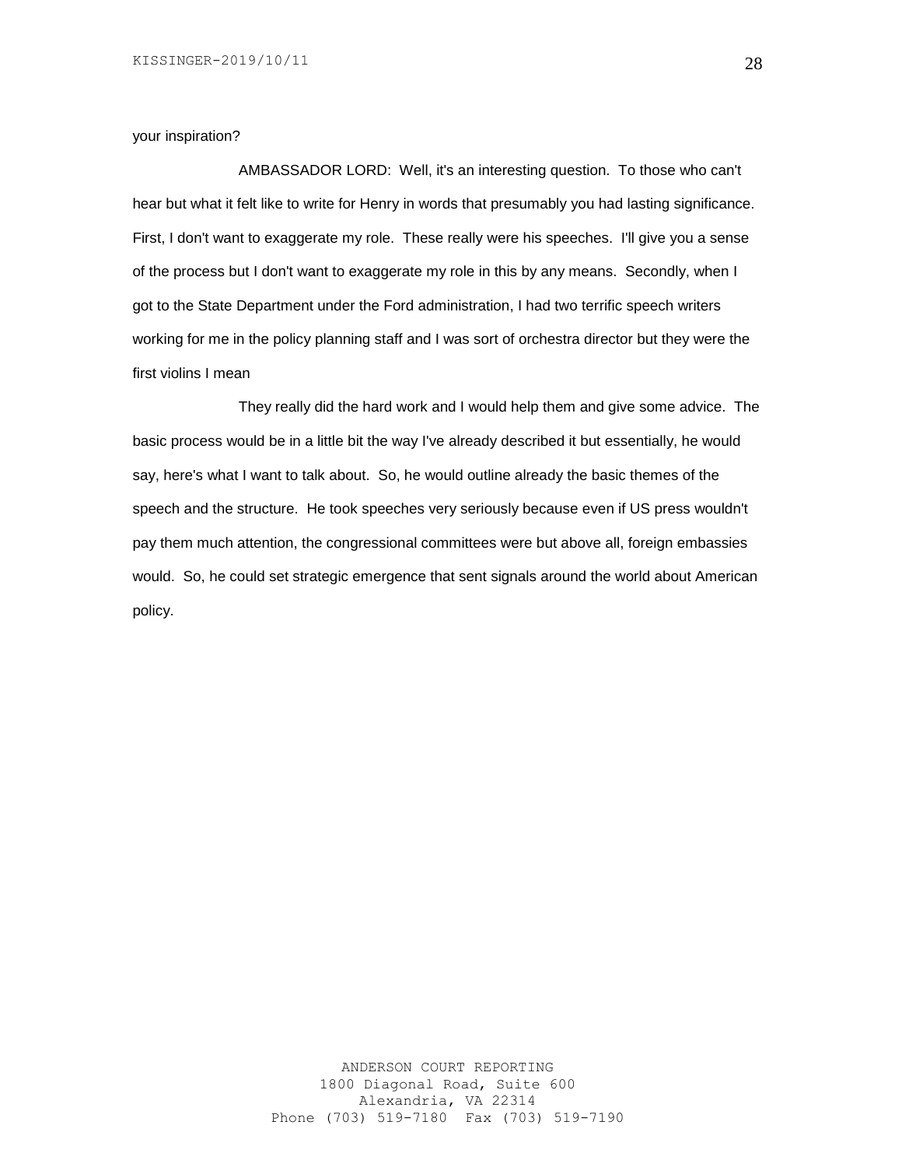#### your inspiration?

AMBASSADOR LORD: Well, it's an interesting question. To those who can't hear but what it felt like to write for Henry in words that presumably you had lasting significance. First, I don't want to exaggerate my role. These really were his speeches. I'll give you a sense of the process but I don't want to exaggerate my role in this by any means. Secondly, when I got to the State Department under the Ford administration, I had two terrific speech writers working for me in the policy planning staff and I was sort of orchestra director but they were the first violins I mean

They really did the hard work and I would help them and give some advice. The basic process would be in a little bit the way I've already described it but essentially, he would say, here's what I want to talk about. So, he would outline already the basic themes of the speech and the structure. He took speeches very seriously because even if US press wouldn't pay them much attention, the congressional committees were but above all, foreign embassies would. So, he could set strategic emergence that sent signals around the world about American policy.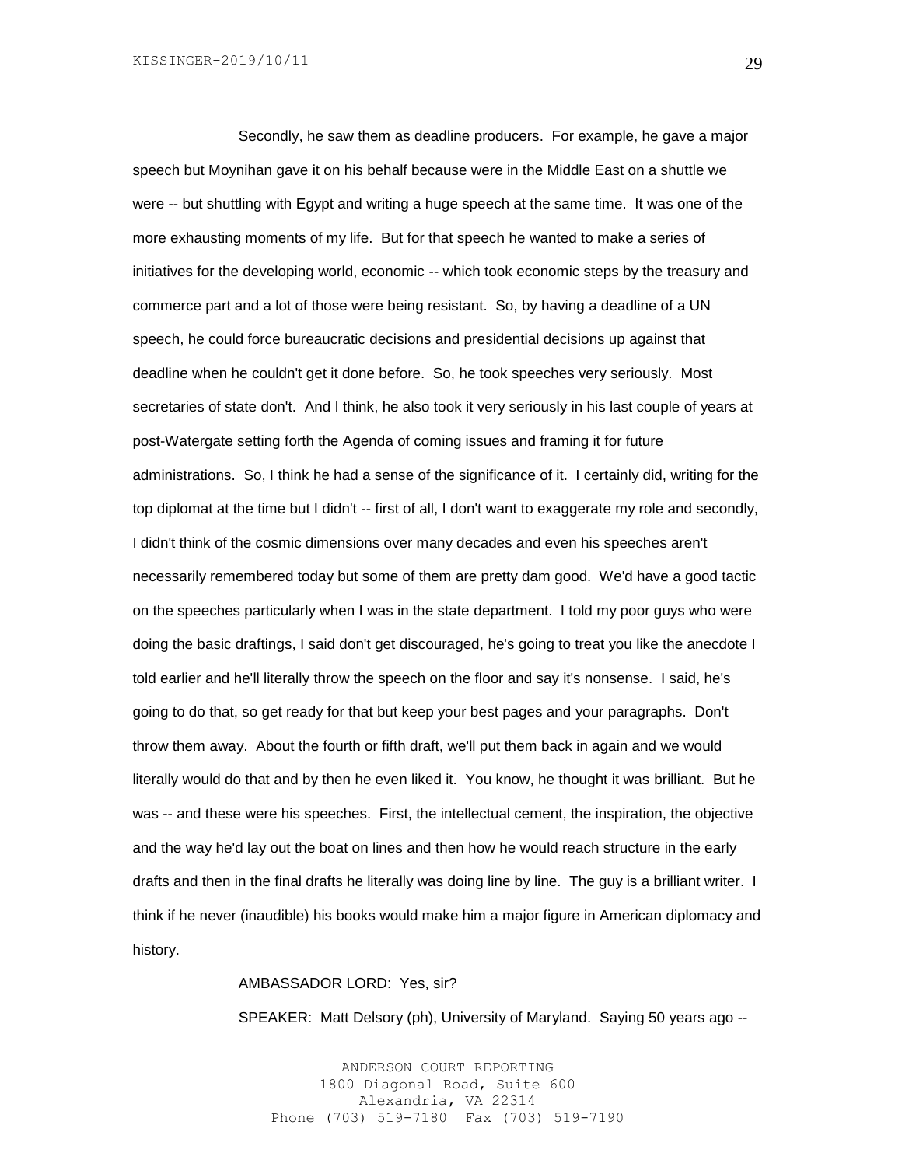Secondly, he saw them as deadline producers. For example, he gave a major speech but Moynihan gave it on his behalf because were in the Middle East on a shuttle we were -- but shuttling with Egypt and writing a huge speech at the same time. It was one of the more exhausting moments of my life. But for that speech he wanted to make a series of initiatives for the developing world, economic -- which took economic steps by the treasury and commerce part and a lot of those were being resistant. So, by having a deadline of a UN speech, he could force bureaucratic decisions and presidential decisions up against that deadline when he couldn't get it done before. So, he took speeches very seriously. Most secretaries of state don't. And I think, he also took it very seriously in his last couple of years at post-Watergate setting forth the Agenda of coming issues and framing it for future administrations. So, I think he had a sense of the significance of it. I certainly did, writing for the top diplomat at the time but I didn't -- first of all, I don't want to exaggerate my role and secondly, I didn't think of the cosmic dimensions over many decades and even his speeches aren't necessarily remembered today but some of them are pretty dam good. We'd have a good tactic on the speeches particularly when I was in the state department. I told my poor guys who were doing the basic draftings, I said don't get discouraged, he's going to treat you like the anecdote I told earlier and he'll literally throw the speech on the floor and say it's nonsense. I said, he's going to do that, so get ready for that but keep your best pages and your paragraphs. Don't throw them away. About the fourth or fifth draft, we'll put them back in again and we would literally would do that and by then he even liked it. You know, he thought it was brilliant. But he was -- and these were his speeches. First, the intellectual cement, the inspiration, the objective and the way he'd lay out the boat on lines and then how he would reach structure in the early drafts and then in the final drafts he literally was doing line by line. The guy is a brilliant writer. I think if he never (inaudible) his books would make him a major figure in American diplomacy and history.

#### AMBASSADOR LORD: Yes, sir?

SPEAKER: Matt Delsory (ph), University of Maryland. Saying 50 years ago --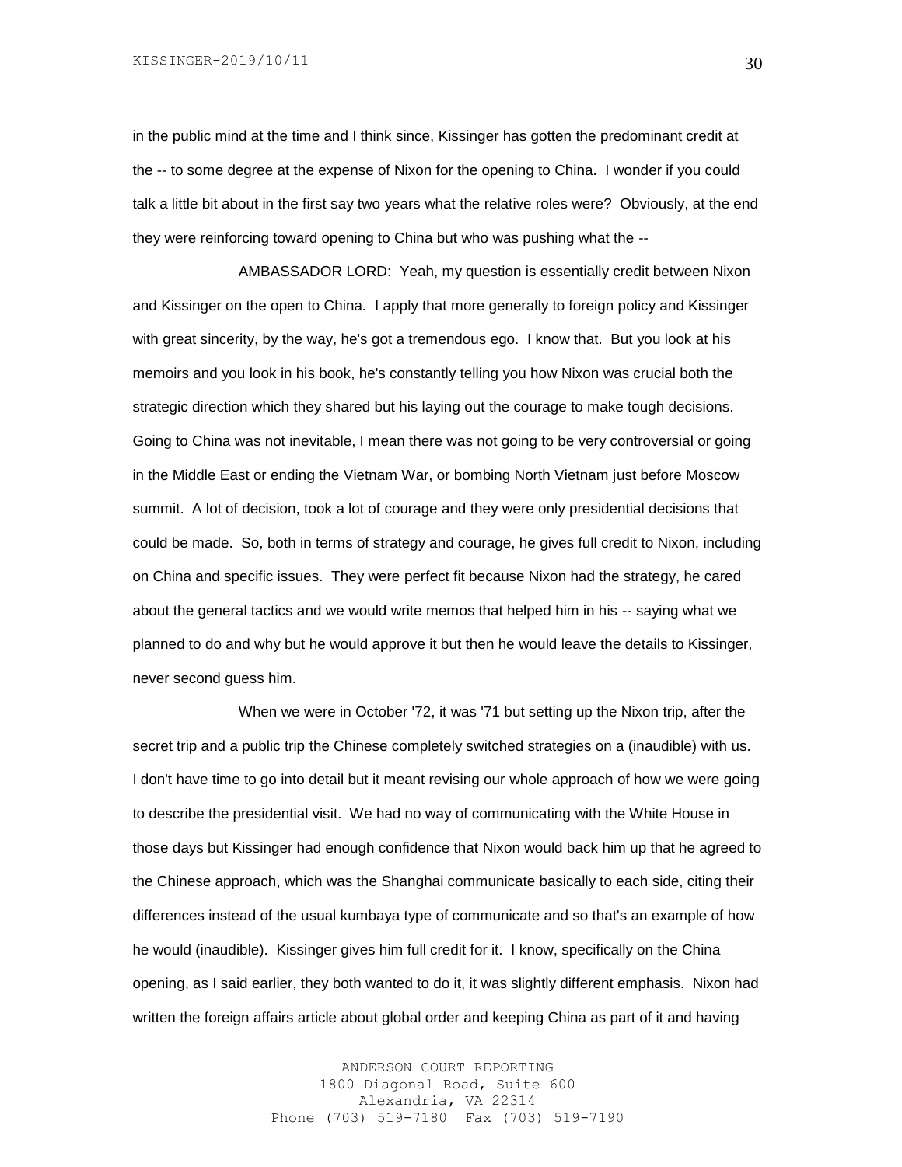in the public mind at the time and I think since, Kissinger has gotten the predominant credit at the -- to some degree at the expense of Nixon for the opening to China. I wonder if you could talk a little bit about in the first say two years what the relative roles were? Obviously, at the end they were reinforcing toward opening to China but who was pushing what the --

AMBASSADOR LORD: Yeah, my question is essentially credit between Nixon and Kissinger on the open to China. I apply that more generally to foreign policy and Kissinger with great sincerity, by the way, he's got a tremendous ego. I know that. But you look at his memoirs and you look in his book, he's constantly telling you how Nixon was crucial both the strategic direction which they shared but his laying out the courage to make tough decisions. Going to China was not inevitable, I mean there was not going to be very controversial or going in the Middle East or ending the Vietnam War, or bombing North Vietnam just before Moscow summit. A lot of decision, took a lot of courage and they were only presidential decisions that could be made. So, both in terms of strategy and courage, he gives full credit to Nixon, including on China and specific issues. They were perfect fit because Nixon had the strategy, he cared about the general tactics and we would write memos that helped him in his -- saying what we planned to do and why but he would approve it but then he would leave the details to Kissinger, never second guess him.

When we were in October '72, it was '71 but setting up the Nixon trip, after the secret trip and a public trip the Chinese completely switched strategies on a (inaudible) with us. I don't have time to go into detail but it meant revising our whole approach of how we were going to describe the presidential visit. We had no way of communicating with the White House in those days but Kissinger had enough confidence that Nixon would back him up that he agreed to the Chinese approach, which was the Shanghai communicate basically to each side, citing their differences instead of the usual kumbaya type of communicate and so that's an example of how he would (inaudible). Kissinger gives him full credit for it. I know, specifically on the China opening, as I said earlier, they both wanted to do it, it was slightly different emphasis. Nixon had written the foreign affairs article about global order and keeping China as part of it and having

> ANDERSON COURT REPORTING 1800 Diagonal Road, Suite 600 Alexandria, VA 22314 Phone (703) 519-7180 Fax (703) 519-7190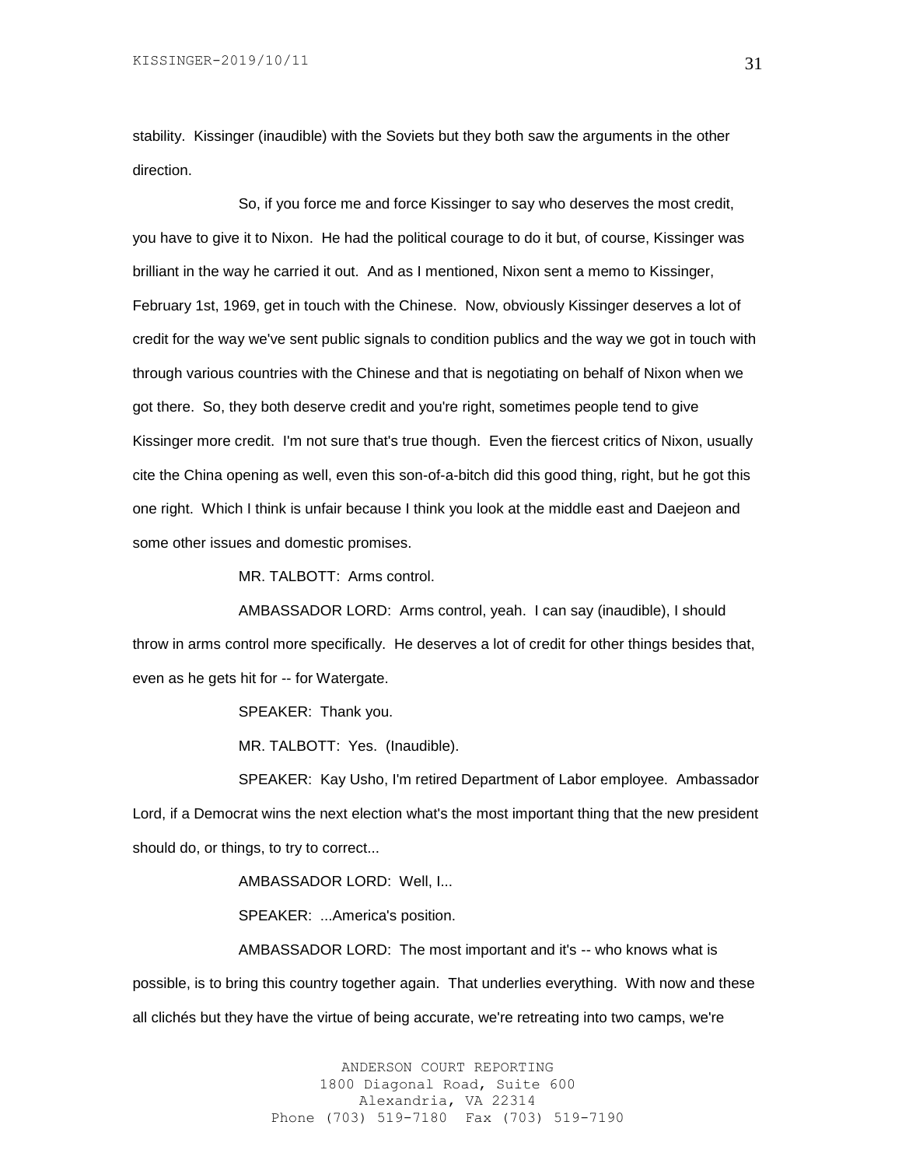stability. Kissinger (inaudible) with the Soviets but they both saw the arguments in the other direction.

So, if you force me and force Kissinger to say who deserves the most credit, you have to give it to Nixon. He had the political courage to do it but, of course, Kissinger was brilliant in the way he carried it out. And as I mentioned, Nixon sent a memo to Kissinger, February 1st, 1969, get in touch with the Chinese. Now, obviously Kissinger deserves a lot of credit for the way we've sent public signals to condition publics and the way we got in touch with through various countries with the Chinese and that is negotiating on behalf of Nixon when we got there. So, they both deserve credit and you're right, sometimes people tend to give Kissinger more credit. I'm not sure that's true though. Even the fiercest critics of Nixon, usually cite the China opening as well, even this son-of-a-bitch did this good thing, right, but he got this one right. Which I think is unfair because I think you look at the middle east and Daejeon and some other issues and domestic promises.

MR. TALBOTT: Arms control.

AMBASSADOR LORD: Arms control, yeah. I can say (inaudible), I should throw in arms control more specifically. He deserves a lot of credit for other things besides that, even as he gets hit for -- for Watergate.

SPEAKER: Thank you.

MR. TALBOTT: Yes. (Inaudible).

SPEAKER: Kay Usho, I'm retired Department of Labor employee. Ambassador Lord, if a Democrat wins the next election what's the most important thing that the new president should do, or things, to try to correct...

AMBASSADOR LORD: Well, I...

SPEAKER: ...America's position.

AMBASSADOR LORD: The most important and it's -- who knows what is possible, is to bring this country together again. That underlies everything. With now and these all clichés but they have the virtue of being accurate, we're retreating into two camps, we're

> ANDERSON COURT REPORTING 1800 Diagonal Road, Suite 600 Alexandria, VA 22314 Phone (703) 519-7180 Fax (703) 519-7190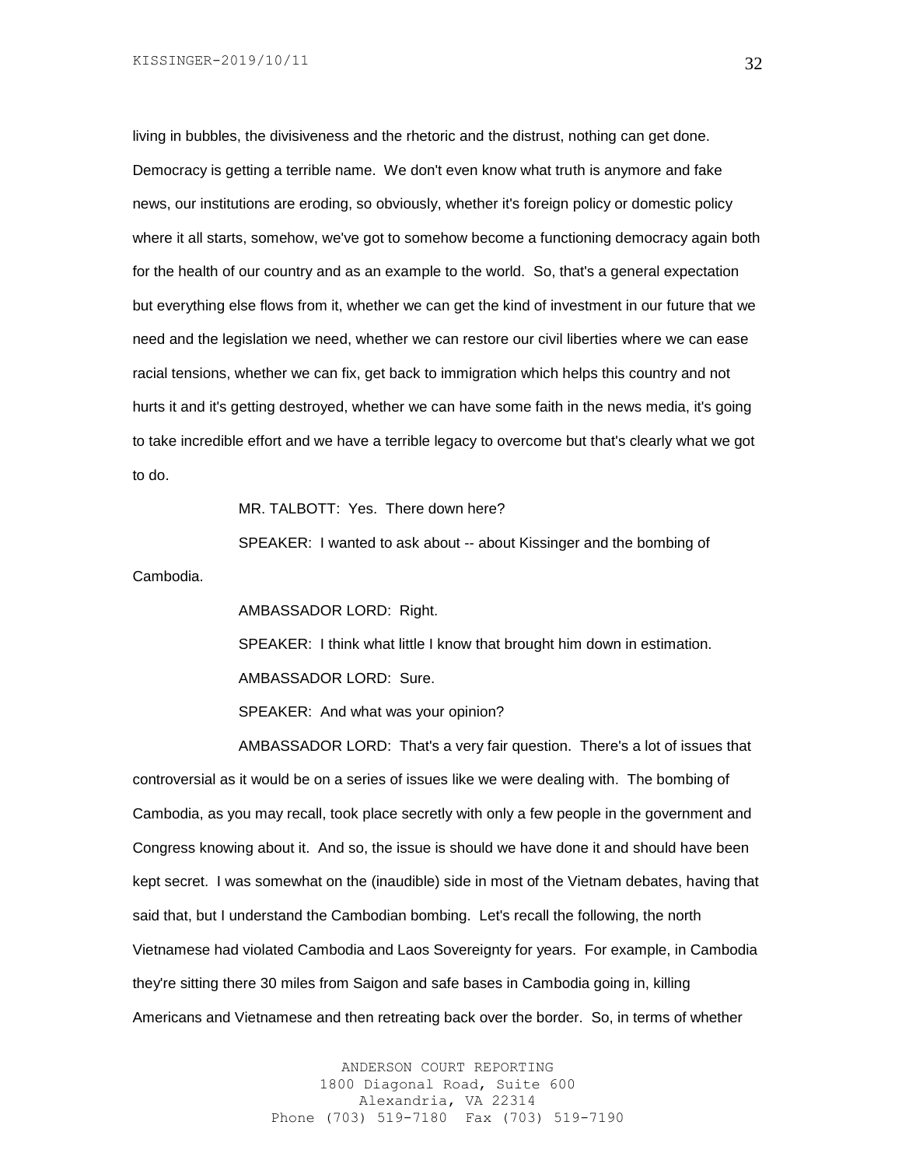living in bubbles, the divisiveness and the rhetoric and the distrust, nothing can get done. Democracy is getting a terrible name. We don't even know what truth is anymore and fake news, our institutions are eroding, so obviously, whether it's foreign policy or domestic policy where it all starts, somehow, we've got to somehow become a functioning democracy again both for the health of our country and as an example to the world. So, that's a general expectation but everything else flows from it, whether we can get the kind of investment in our future that we need and the legislation we need, whether we can restore our civil liberties where we can ease racial tensions, whether we can fix, get back to immigration which helps this country and not hurts it and it's getting destroyed, whether we can have some faith in the news media, it's going to take incredible effort and we have a terrible legacy to overcome but that's clearly what we got to do.

MR. TALBOTT: Yes. There down here?

SPEAKER: I wanted to ask about -- about Kissinger and the bombing of Cambodia.

AMBASSADOR LORD: Right.

SPEAKER: I think what little I know that brought him down in estimation. AMBASSADOR LORD: Sure.

SPEAKER: And what was your opinion?

AMBASSADOR LORD: That's a very fair question. There's a lot of issues that controversial as it would be on a series of issues like we were dealing with. The bombing of Cambodia, as you may recall, took place secretly with only a few people in the government and Congress knowing about it. And so, the issue is should we have done it and should have been kept secret. I was somewhat on the (inaudible) side in most of the Vietnam debates, having that said that, but I understand the Cambodian bombing. Let's recall the following, the north Vietnamese had violated Cambodia and Laos Sovereignty for years. For example, in Cambodia they're sitting there 30 miles from Saigon and safe bases in Cambodia going in, killing Americans and Vietnamese and then retreating back over the border. So, in terms of whether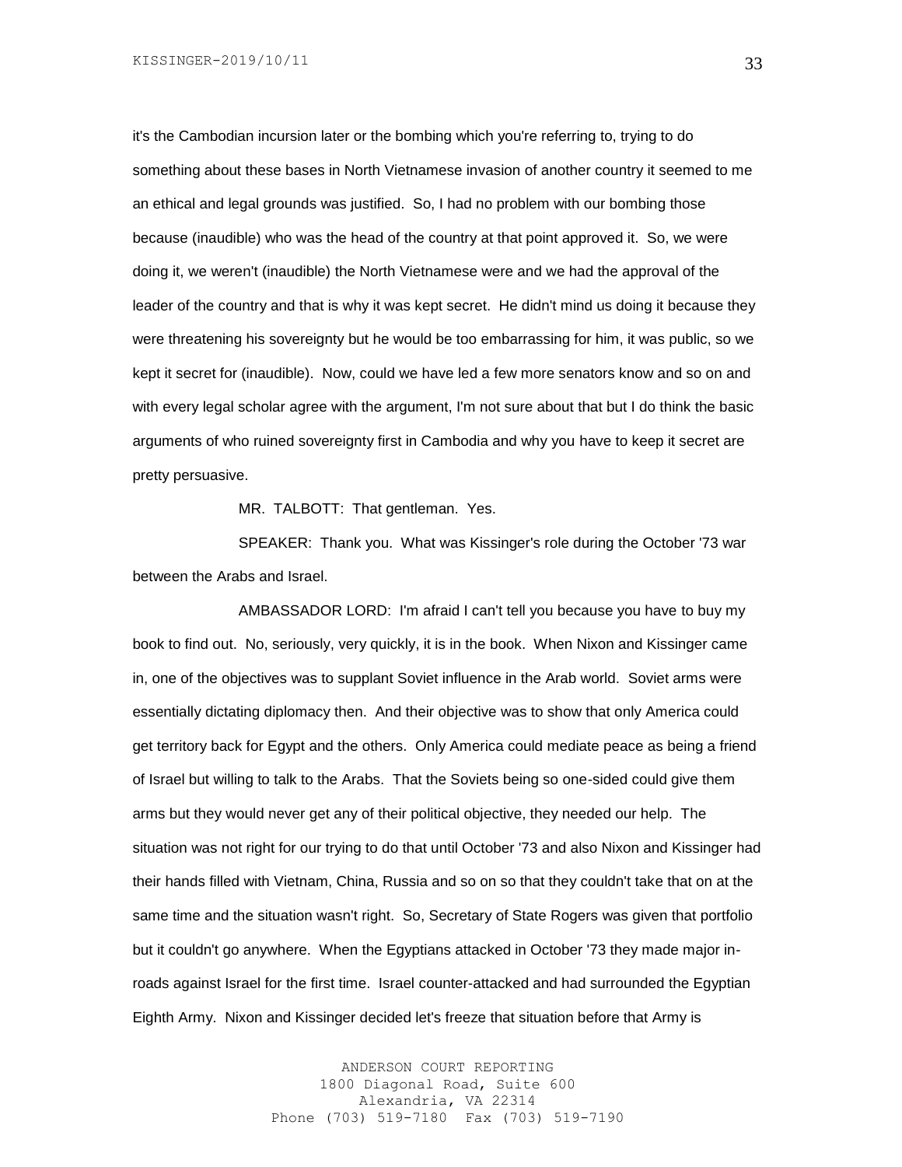it's the Cambodian incursion later or the bombing which you're referring to, trying to do something about these bases in North Vietnamese invasion of another country it seemed to me an ethical and legal grounds was justified. So, I had no problem with our bombing those because (inaudible) who was the head of the country at that point approved it. So, we were doing it, we weren't (inaudible) the North Vietnamese were and we had the approval of the leader of the country and that is why it was kept secret. He didn't mind us doing it because they were threatening his sovereignty but he would be too embarrassing for him, it was public, so we kept it secret for (inaudible). Now, could we have led a few more senators know and so on and with every legal scholar agree with the argument, I'm not sure about that but I do think the basic arguments of who ruined sovereignty first in Cambodia and why you have to keep it secret are pretty persuasive.

MR. TALBOTT: That gentleman. Yes.

SPEAKER: Thank you. What was Kissinger's role during the October '73 war between the Arabs and Israel.

AMBASSADOR LORD: I'm afraid I can't tell you because you have to buy my book to find out. No, seriously, very quickly, it is in the book. When Nixon and Kissinger came in, one of the objectives was to supplant Soviet influence in the Arab world. Soviet arms were essentially dictating diplomacy then. And their objective was to show that only America could get territory back for Egypt and the others. Only America could mediate peace as being a friend of Israel but willing to talk to the Arabs. That the Soviets being so one-sided could give them arms but they would never get any of their political objective, they needed our help. The situation was not right for our trying to do that until October '73 and also Nixon and Kissinger had their hands filled with Vietnam, China, Russia and so on so that they couldn't take that on at the same time and the situation wasn't right. So, Secretary of State Rogers was given that portfolio but it couldn't go anywhere. When the Egyptians attacked in October '73 they made major inroads against Israel for the first time. Israel counter-attacked and had surrounded the Egyptian Eighth Army. Nixon and Kissinger decided let's freeze that situation before that Army is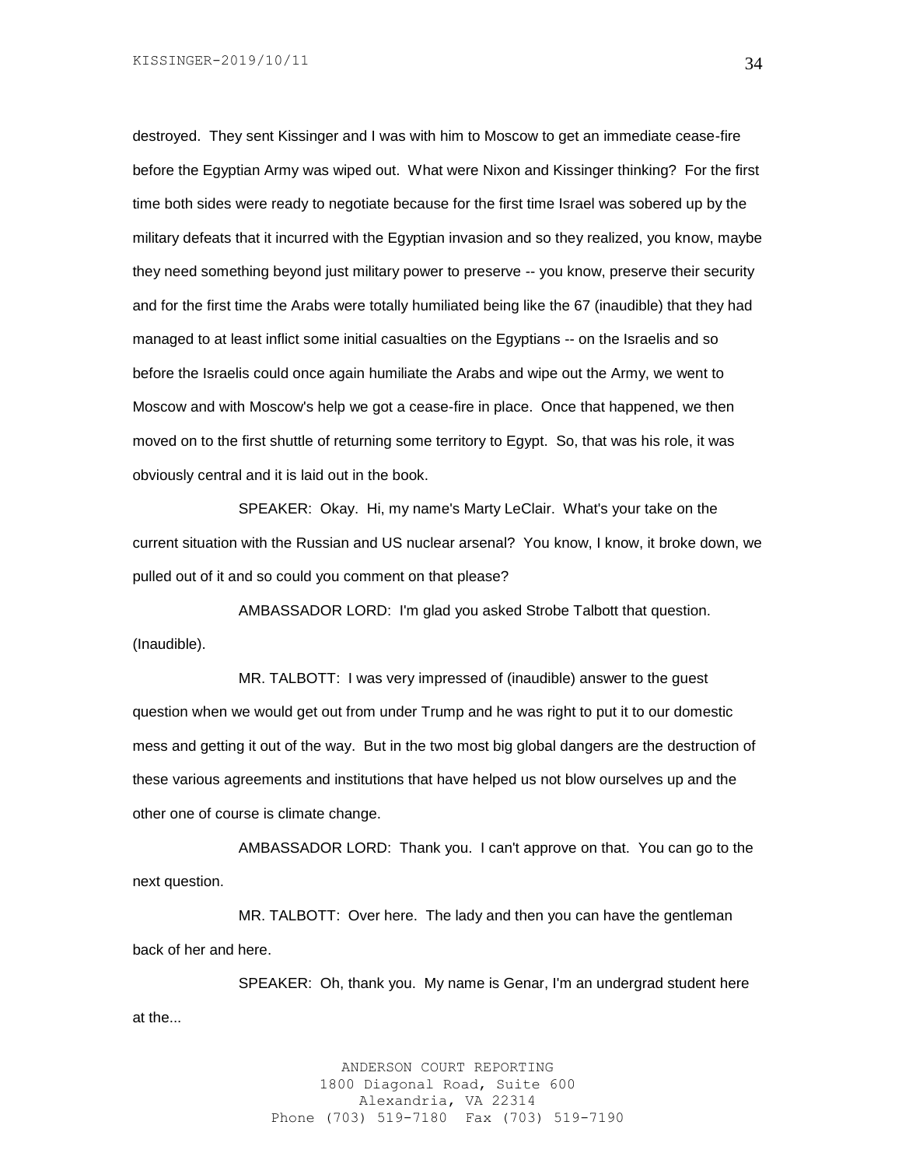destroyed. They sent Kissinger and I was with him to Moscow to get an immediate cease-fire before the Egyptian Army was wiped out. What were Nixon and Kissinger thinking? For the first time both sides were ready to negotiate because for the first time Israel was sobered up by the military defeats that it incurred with the Egyptian invasion and so they realized, you know, maybe they need something beyond just military power to preserve -- you know, preserve their security and for the first time the Arabs were totally humiliated being like the 67 (inaudible) that they had managed to at least inflict some initial casualties on the Egyptians -- on the Israelis and so before the Israelis could once again humiliate the Arabs and wipe out the Army, we went to Moscow and with Moscow's help we got a cease-fire in place. Once that happened, we then moved on to the first shuttle of returning some territory to Egypt. So, that was his role, it was obviously central and it is laid out in the book.

SPEAKER: Okay. Hi, my name's Marty LeClair. What's your take on the current situation with the Russian and US nuclear arsenal? You know, I know, it broke down, we pulled out of it and so could you comment on that please?

AMBASSADOR LORD: I'm glad you asked Strobe Talbott that question. (Inaudible).

MR. TALBOTT: I was very impressed of (inaudible) answer to the guest question when we would get out from under Trump and he was right to put it to our domestic mess and getting it out of the way. But in the two most big global dangers are the destruction of these various agreements and institutions that have helped us not blow ourselves up and the other one of course is climate change.

AMBASSADOR LORD: Thank you. I can't approve on that. You can go to the next question.

MR. TALBOTT: Over here. The lady and then you can have the gentleman back of her and here.

SPEAKER: Oh, thank you. My name is Genar, I'm an undergrad student here at the...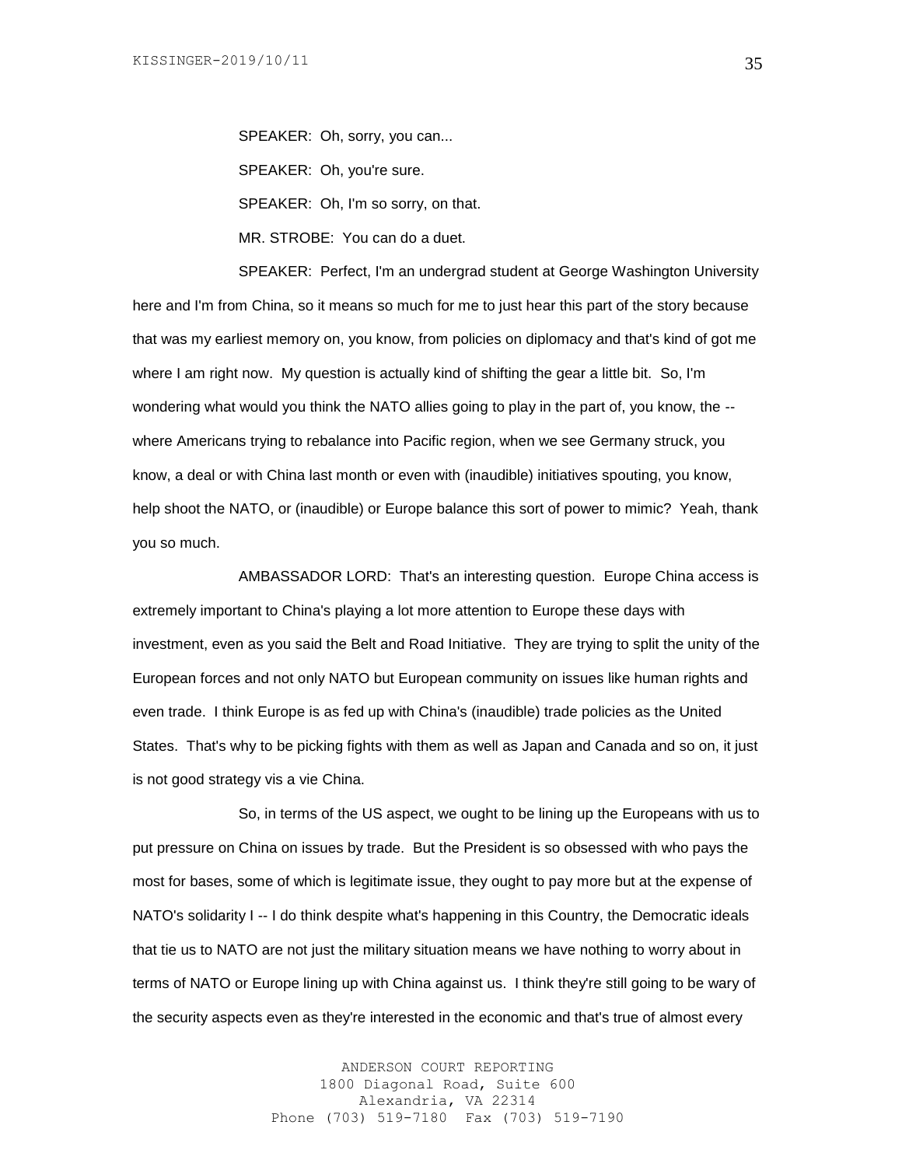SPEAKER: Oh, sorry, you can... SPEAKER: Oh, you're sure. SPEAKER: Oh, I'm so sorry, on that. MR. STROBE: You can do a duet.

SPEAKER: Perfect, I'm an undergrad student at George Washington University here and I'm from China, so it means so much for me to just hear this part of the story because that was my earliest memory on, you know, from policies on diplomacy and that's kind of got me where I am right now. My question is actually kind of shifting the gear a little bit. So, I'm wondering what would you think the NATO allies going to play in the part of, you know, the - where Americans trying to rebalance into Pacific region, when we see Germany struck, you know, a deal or with China last month or even with (inaudible) initiatives spouting, you know, help shoot the NATO, or (inaudible) or Europe balance this sort of power to mimic? Yeah, thank you so much.

AMBASSADOR LORD: That's an interesting question. Europe China access is extremely important to China's playing a lot more attention to Europe these days with investment, even as you said the Belt and Road Initiative. They are trying to split the unity of the European forces and not only NATO but European community on issues like human rights and even trade. I think Europe is as fed up with China's (inaudible) trade policies as the United States. That's why to be picking fights with them as well as Japan and Canada and so on, it just is not good strategy vis a vie China.

So, in terms of the US aspect, we ought to be lining up the Europeans with us to put pressure on China on issues by trade. But the President is so obsessed with who pays the most for bases, some of which is legitimate issue, they ought to pay more but at the expense of NATO's solidarity I -- I do think despite what's happening in this Country, the Democratic ideals that tie us to NATO are not just the military situation means we have nothing to worry about in terms of NATO or Europe lining up with China against us. I think they're still going to be wary of the security aspects even as they're interested in the economic and that's true of almost every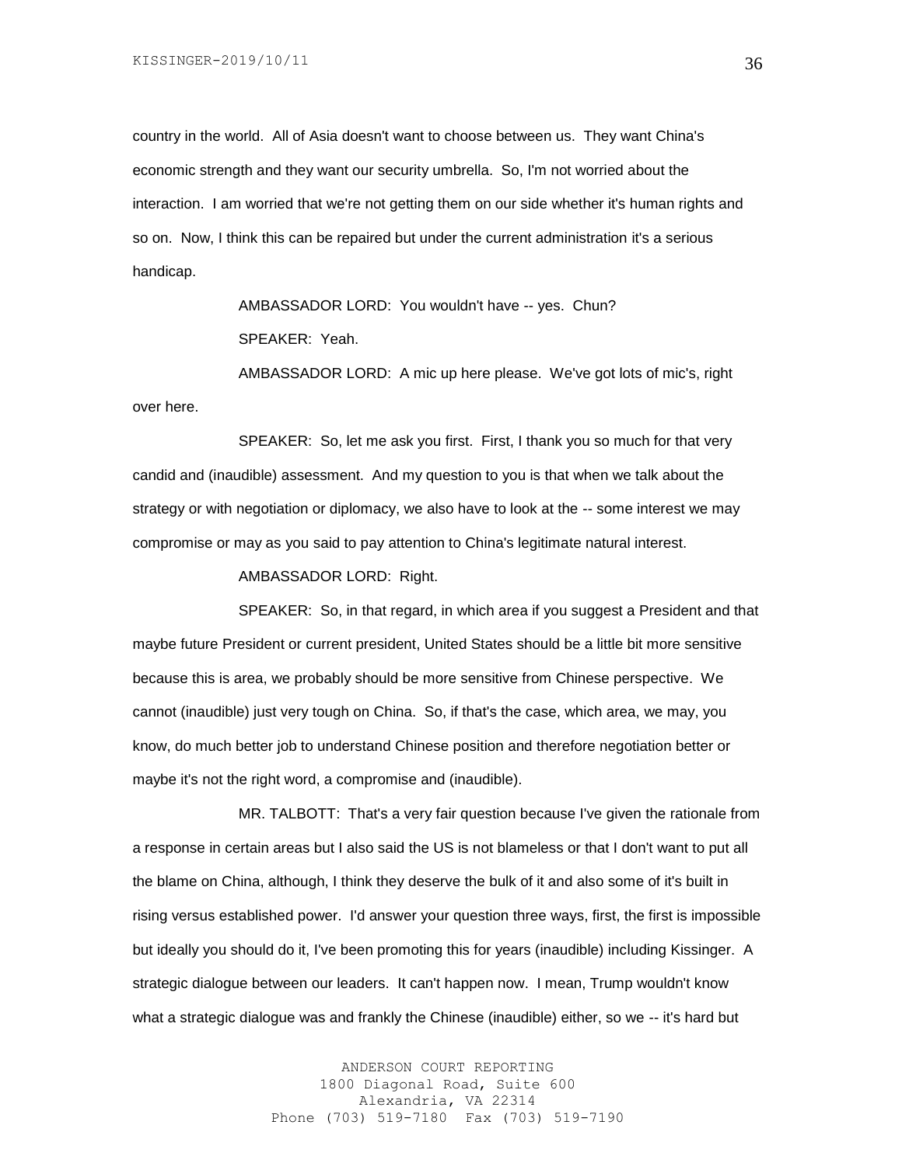country in the world. All of Asia doesn't want to choose between us. They want China's economic strength and they want our security umbrella. So, I'm not worried about the interaction. I am worried that we're not getting them on our side whether it's human rights and so on. Now, I think this can be repaired but under the current administration it's a serious handicap.

> AMBASSADOR LORD: You wouldn't have -- yes. Chun? SPEAKER: Yeah.

AMBASSADOR LORD: A mic up here please. We've got lots of mic's, right over here.

SPEAKER: So, let me ask you first. First, I thank you so much for that very candid and (inaudible) assessment. And my question to you is that when we talk about the strategy or with negotiation or diplomacy, we also have to look at the -- some interest we may compromise or may as you said to pay attention to China's legitimate natural interest.

AMBASSADOR LORD: Right.

SPEAKER: So, in that regard, in which area if you suggest a President and that maybe future President or current president, United States should be a little bit more sensitive because this is area, we probably should be more sensitive from Chinese perspective. We cannot (inaudible) just very tough on China. So, if that's the case, which area, we may, you know, do much better job to understand Chinese position and therefore negotiation better or maybe it's not the right word, a compromise and (inaudible).

MR. TALBOTT: That's a very fair question because I've given the rationale from a response in certain areas but I also said the US is not blameless or that I don't want to put all the blame on China, although, I think they deserve the bulk of it and also some of it's built in rising versus established power. I'd answer your question three ways, first, the first is impossible but ideally you should do it, I've been promoting this for years (inaudible) including Kissinger. A strategic dialogue between our leaders. It can't happen now. I mean, Trump wouldn't know what a strategic dialogue was and frankly the Chinese (inaudible) either, so we -- it's hard but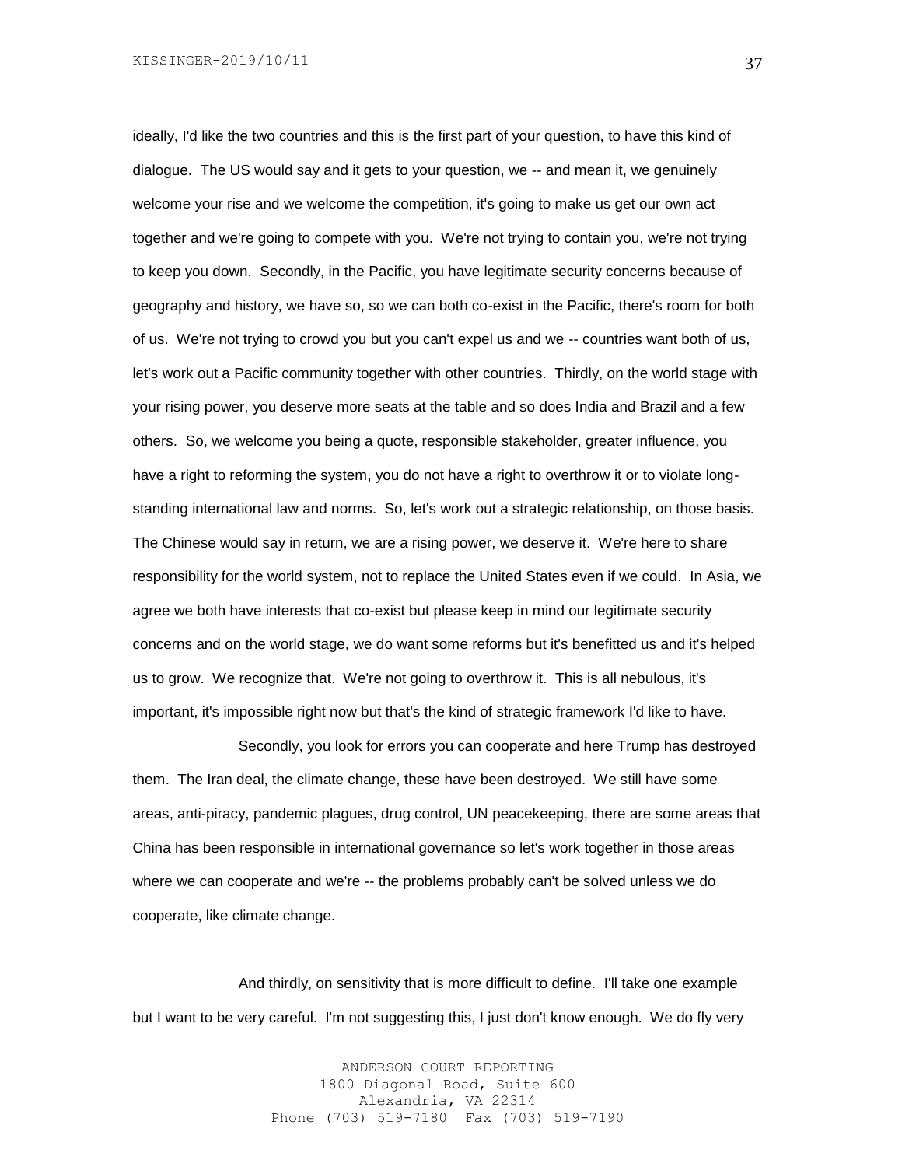ideally, I'd like the two countries and this is the first part of your question, to have this kind of dialogue. The US would say and it gets to your question, we -- and mean it, we genuinely welcome your rise and we welcome the competition, it's going to make us get our own act together and we're going to compete with you. We're not trying to contain you, we're not trying to keep you down. Secondly, in the Pacific, you have legitimate security concerns because of geography and history, we have so, so we can both co-exist in the Pacific, there's room for both of us. We're not trying to crowd you but you can't expel us and we -- countries want both of us, let's work out a Pacific community together with other countries. Thirdly, on the world stage with your rising power, you deserve more seats at the table and so does India and Brazil and a few others. So, we welcome you being a quote, responsible stakeholder, greater influence, you have a right to reforming the system, you do not have a right to overthrow it or to violate longstanding international law and norms. So, let's work out a strategic relationship, on those basis. The Chinese would say in return, we are a rising power, we deserve it. We're here to share responsibility for the world system, not to replace the United States even if we could. In Asia, we agree we both have interests that co-exist but please keep in mind our legitimate security concerns and on the world stage, we do want some reforms but it's benefitted us and it's helped us to grow. We recognize that. We're not going to overthrow it. This is all nebulous, it's important, it's impossible right now but that's the kind of strategic framework I'd like to have.

Secondly, you look for errors you can cooperate and here Trump has destroyed them. The Iran deal, the climate change, these have been destroyed. We still have some areas, anti-piracy, pandemic plagues, drug control, UN peacekeeping, there are some areas that China has been responsible in international governance so let's work together in those areas where we can cooperate and we're -- the problems probably can't be solved unless we do cooperate, like climate change.

And thirdly, on sensitivity that is more difficult to define. I'll take one example but I want to be very careful. I'm not suggesting this, I just don't know enough. We do fly very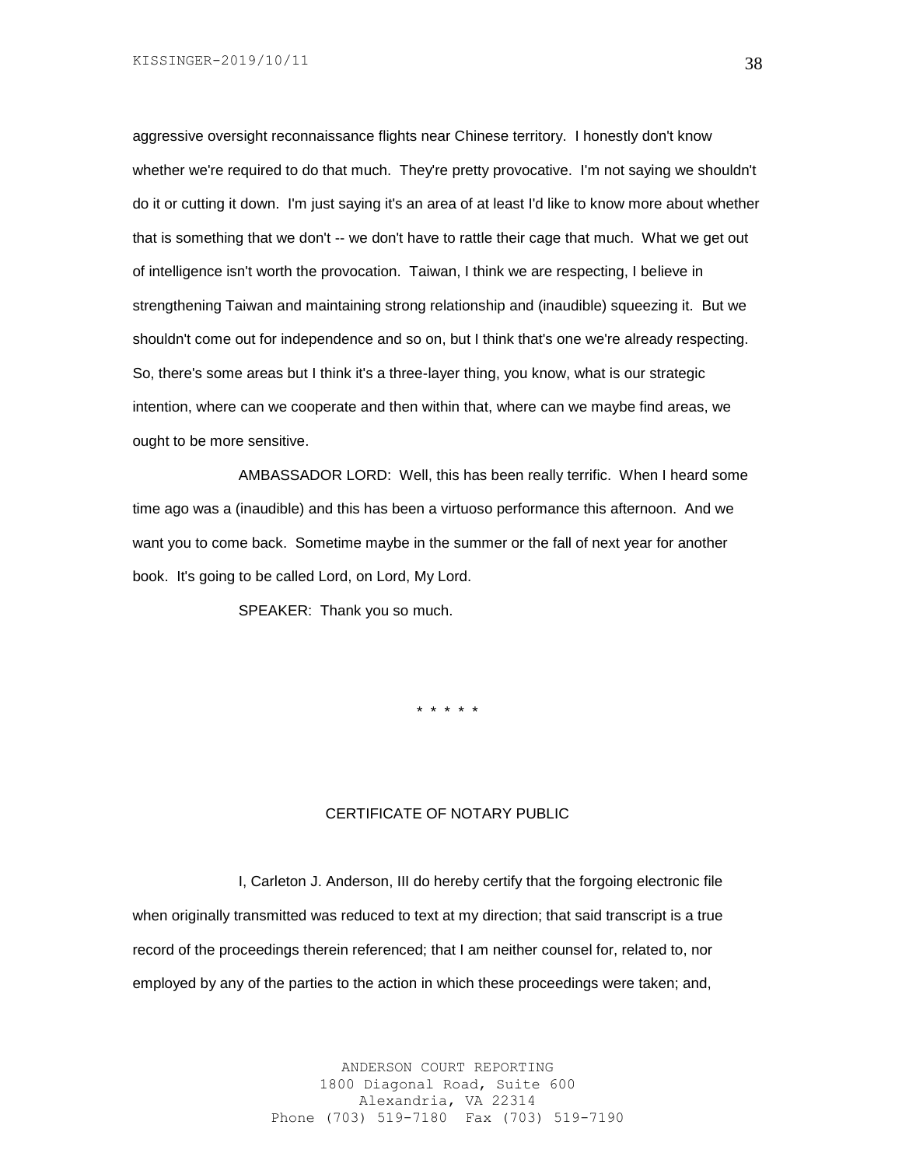aggressive oversight reconnaissance flights near Chinese territory. I honestly don't know whether we're required to do that much. They're pretty provocative. I'm not saying we shouldn't do it or cutting it down. I'm just saying it's an area of at least I'd like to know more about whether that is something that we don't -- we don't have to rattle their cage that much. What we get out of intelligence isn't worth the provocation. Taiwan, I think we are respecting, I believe in strengthening Taiwan and maintaining strong relationship and (inaudible) squeezing it. But we shouldn't come out for independence and so on, but I think that's one we're already respecting. So, there's some areas but I think it's a three-layer thing, you know, what is our strategic intention, where can we cooperate and then within that, where can we maybe find areas, we ought to be more sensitive.

AMBASSADOR LORD: Well, this has been really terrific. When I heard some time ago was a (inaudible) and this has been a virtuoso performance this afternoon. And we want you to come back. Sometime maybe in the summer or the fall of next year for another book. It's going to be called Lord, on Lord, My Lord.

SPEAKER: Thank you so much.

\* \* \* \* \*

### CERTIFICATE OF NOTARY PUBLIC

I, Carleton J. Anderson, III do hereby certify that the forgoing electronic file when originally transmitted was reduced to text at my direction; that said transcript is a true record of the proceedings therein referenced; that I am neither counsel for, related to, nor employed by any of the parties to the action in which these proceedings were taken; and,